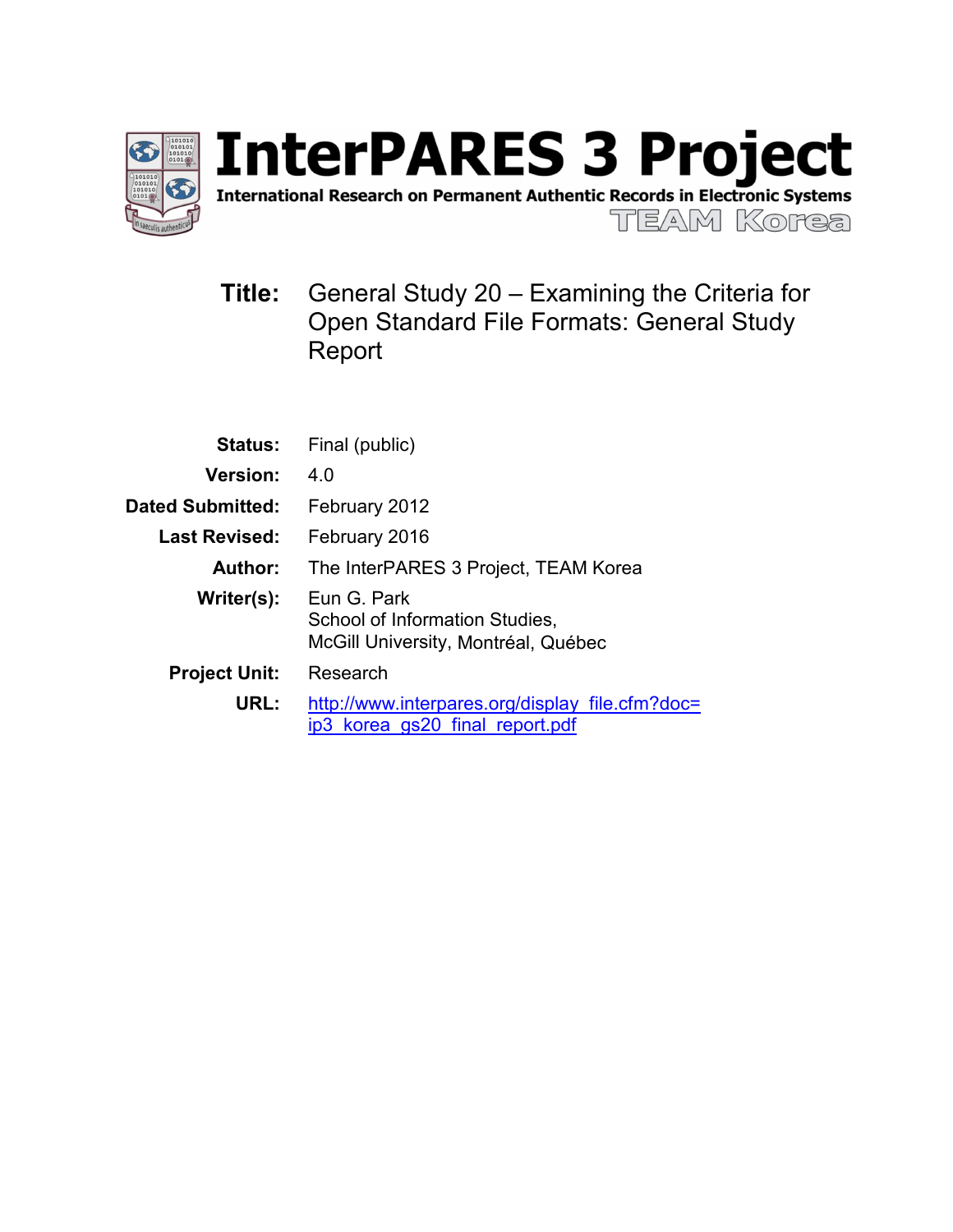

**InterPARES 3 Project** International Research on Permanent Authentic Records in Electronic Systems **TEAM Korea** 

**Title:** General Study 20 – Examining the Criteria for Open Standard File Formats: General Study Report

|                         | <b>Status:</b> Final (public)                                                        |
|-------------------------|--------------------------------------------------------------------------------------|
| <b>Version:</b>         | 4 O                                                                                  |
| <b>Dated Submitted:</b> | February 2012                                                                        |
| Last Revised:           | February 2016                                                                        |
| Author:                 | The InterPARES 3 Project, TEAM Korea                                                 |
| Writer(s):              | Eun G. Park<br>School of Information Studies,<br>McGill University, Montréal, Québec |
| <b>Project Unit:</b>    | Research                                                                             |
| URL:                    | http://www.interpares.org/display file.cfm?doc=<br>ip3 korea gs20 final report.pdf   |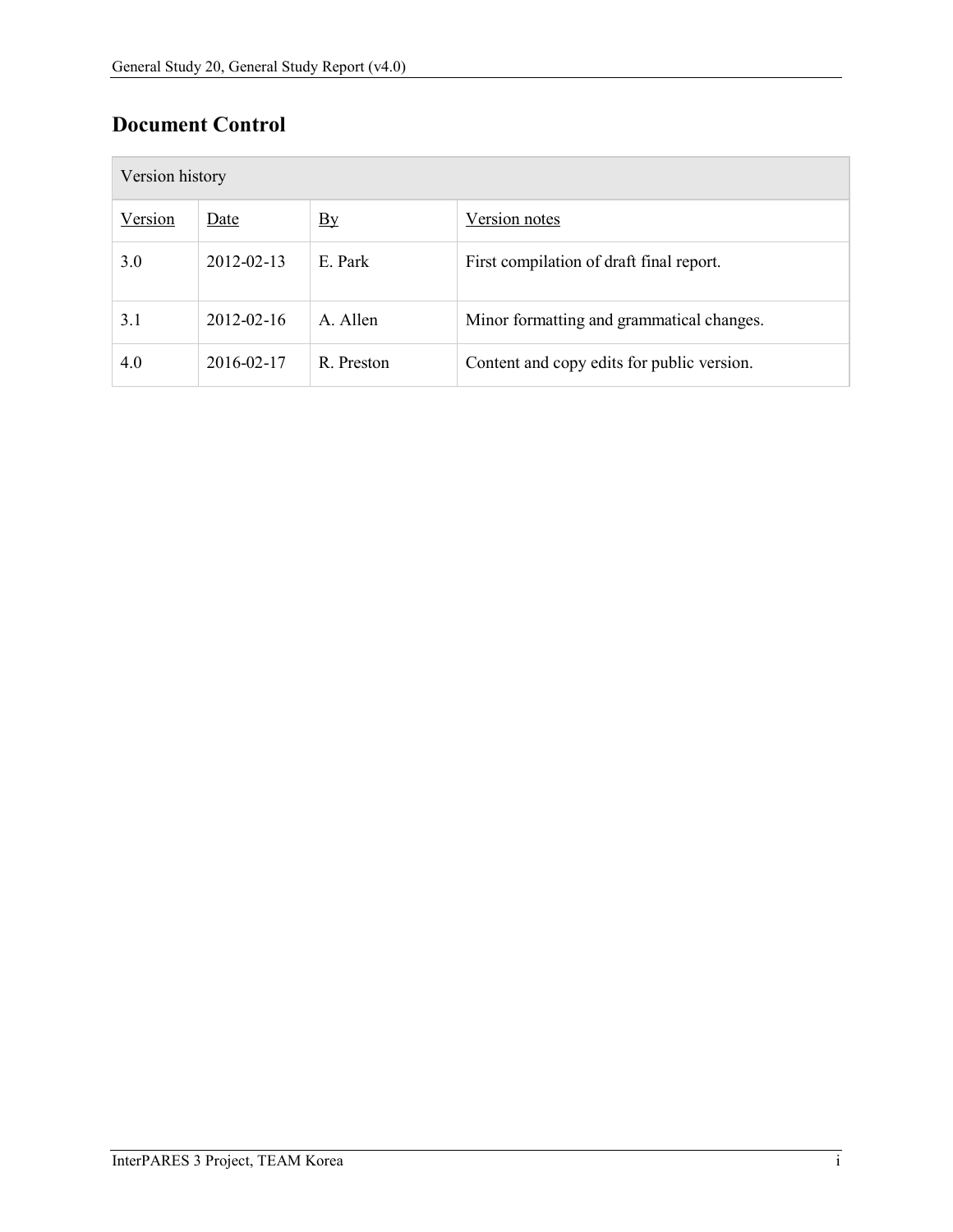# **Document Control**

|         | Version history  |                |                                            |  |  |
|---------|------------------|----------------|--------------------------------------------|--|--|
| Version | Date             | $\mathbf{B}$ y | Version notes                              |  |  |
| 3.0     | 2012-02-13       | E. Park        | First compilation of draft final report.   |  |  |
| 3.1     | $2012 - 02 - 16$ | A. Allen       | Minor formatting and grammatical changes.  |  |  |
| 4.0     | 2016-02-17       | R. Preston     | Content and copy edits for public version. |  |  |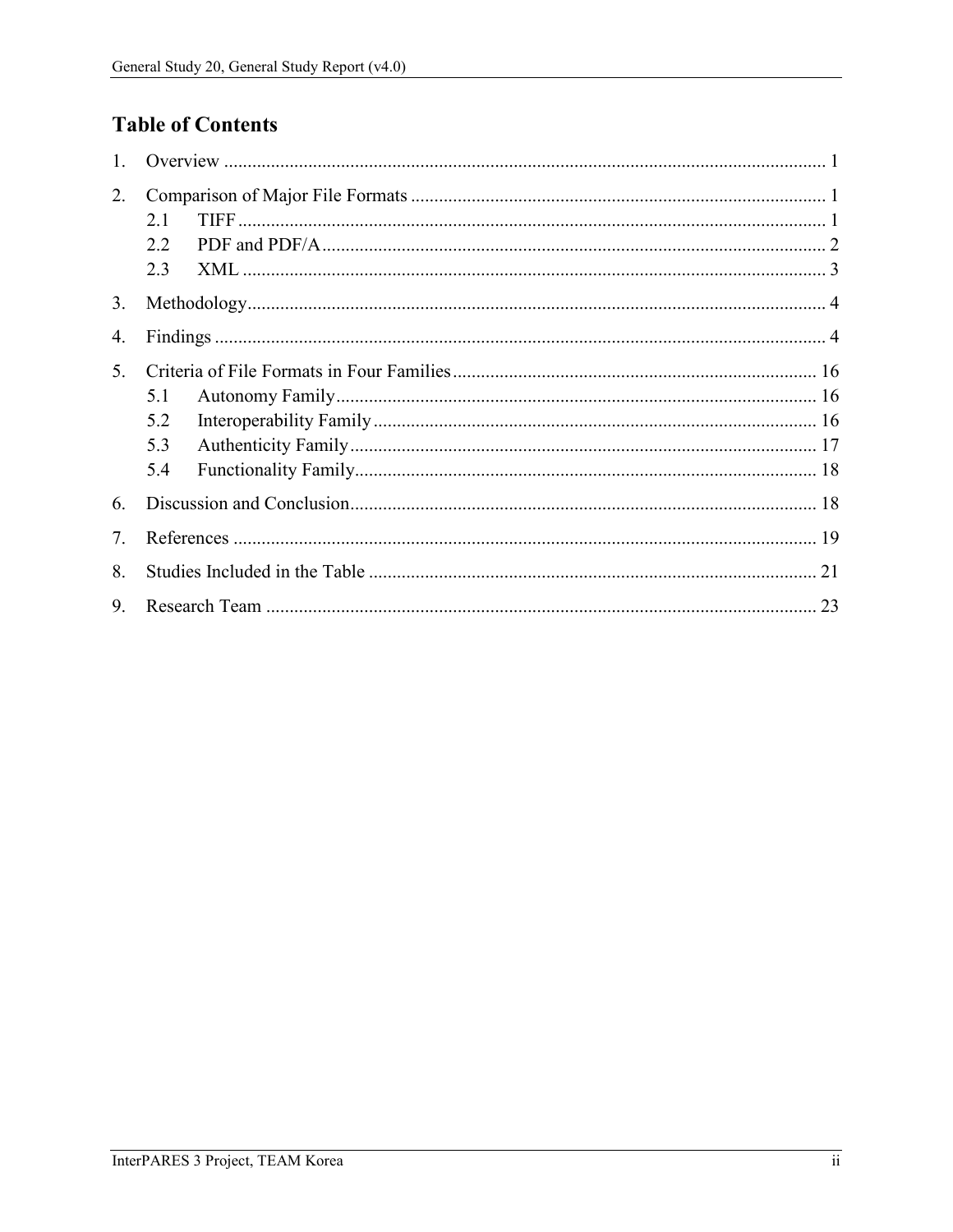# **Table of Contents**

| 1. |     |  |  |
|----|-----|--|--|
| 2. | 2.1 |  |  |
|    | 2.2 |  |  |
|    | 2.3 |  |  |
| 3. |     |  |  |
| 4. |     |  |  |
| 5. |     |  |  |
|    | 5.1 |  |  |
|    | 5.2 |  |  |
|    | 5.3 |  |  |
|    | 5.4 |  |  |
| 6. |     |  |  |
| 7. |     |  |  |
| 8. |     |  |  |
| 9. |     |  |  |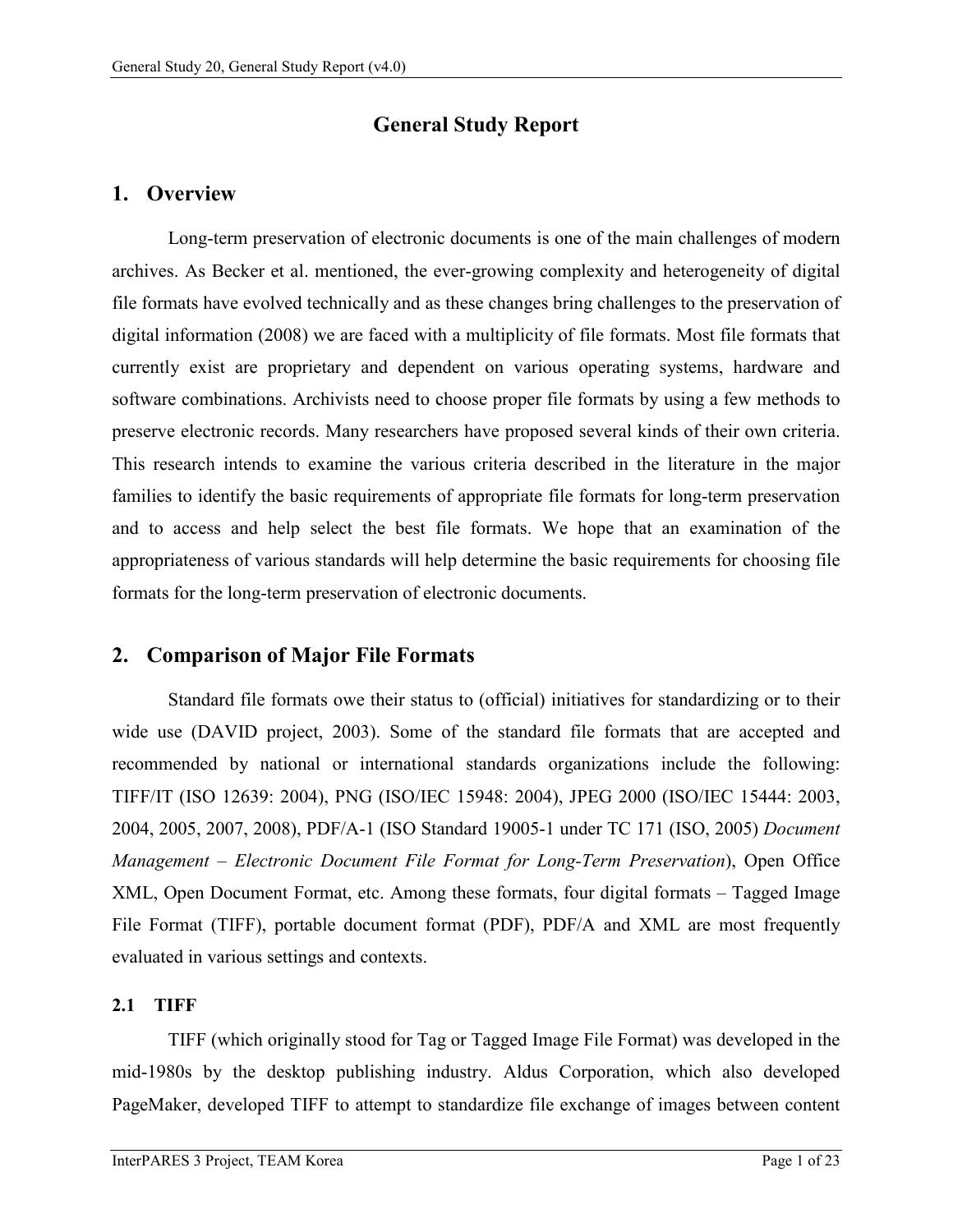# **General Study Report**

## <span id="page-3-0"></span>**1. Overview**

Long-term preservation of electronic documents is one of the main challenges of modern archives. As Becker et al. mentioned, the ever-growing complexity and heterogeneity of digital file formats have evolved technically and as these changes bring challenges to the preservation of digital information (2008) we are faced with a multiplicity of file formats. Most file formats that currently exist are proprietary and dependent on various operating systems, hardware and software combinations. Archivists need to choose proper file formats by using a few methods to preserve electronic records. Many researchers have proposed several kinds of their own criteria. This research intends to examine the various criteria described in the literature in the major families to identify the basic requirements of appropriate file formats for long-term preservation and to access and help select the best file formats. We hope that an examination of the appropriateness of various standards will help determine the basic requirements for choosing file formats for the long-term preservation of electronic documents.

# <span id="page-3-1"></span>**2. Comparison of Major File Formats**

Standard file formats owe their status to (official) initiatives for standardizing or to their wide use (DAVID project, 2003). Some of the standard file formats that are accepted and recommended by national or international standards organizations include the following: TIFF/IT (ISO 12639: 2004), PNG (ISO/IEC 15948: 2004), JPEG 2000 (ISO/IEC 15444: 2003, 2004, 2005, 2007, 2008), PDF/A-1 (ISO Standard 19005-1 under TC 171 (ISO, 2005) *Document Management – Electronic Document File Format for Long-Term Preservation*), Open Office XML, Open Document Format, etc. Among these formats, four digital formats – Tagged Image File Format (TIFF), portable document format (PDF), PDF/A and XML are most frequently evaluated in various settings and contexts.

## <span id="page-3-2"></span>**2.1 TIFF**

TIFF (which originally stood for Tag or Tagged Image File Format) was developed in the mid-1980s by the desktop publishing industry. Aldus Corporation, which also developed PageMaker, developed TIFF to attempt to standardize file exchange of images between content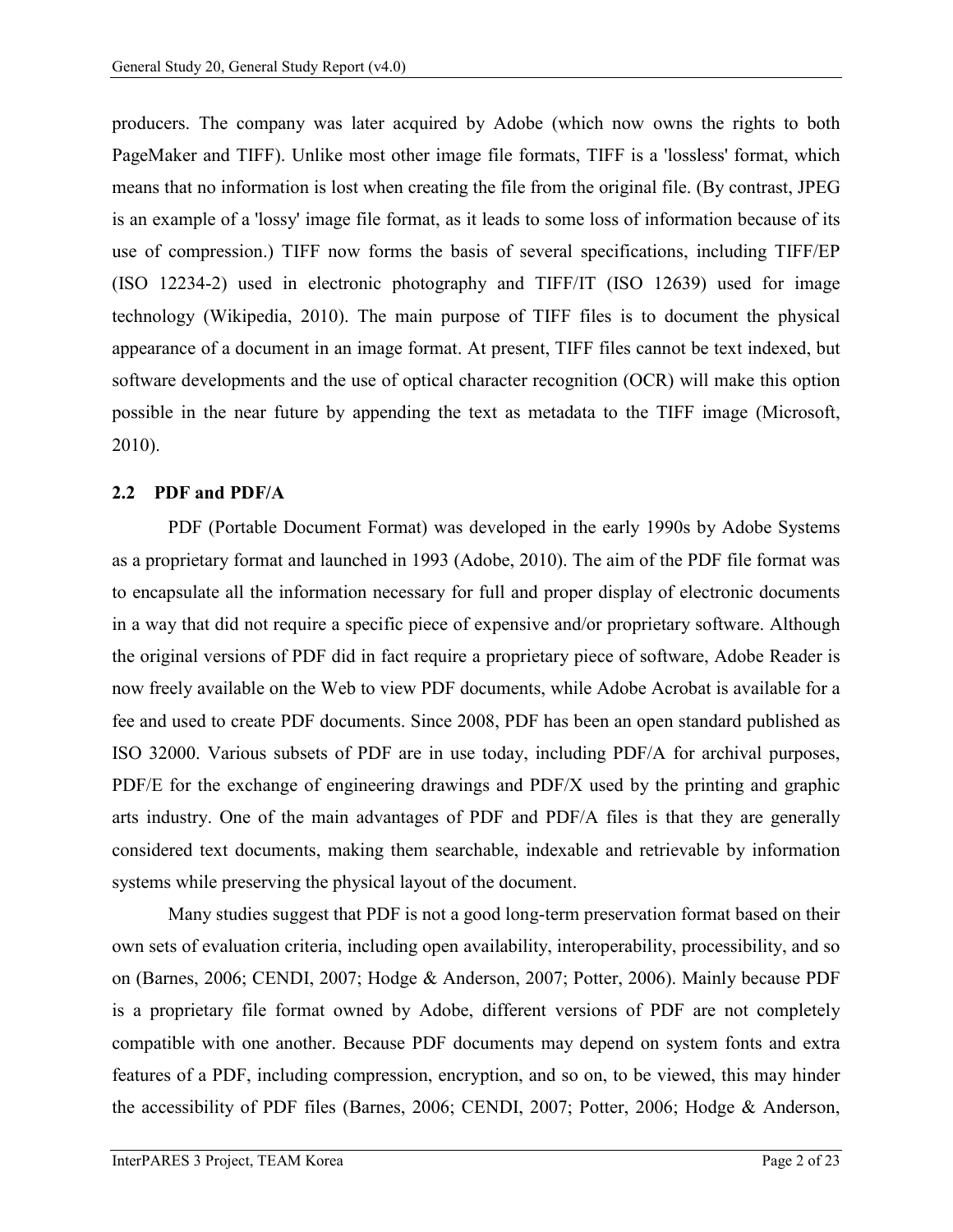producers. The company was later acquired by Adobe (which now owns the rights to both PageMaker and TIFF). Unlike most other image file formats, TIFF is a 'lossless' format, which means that no information is lost when creating the file from the original file. (By contrast, JPEG is an example of a 'lossy' image file format, as it leads to some loss of information because of its use of compression.) TIFF now forms the basis of several specifications, including TIFF/EP (ISO 12234-2) used in electronic photography and TIFF/IT (ISO 12639) used for image technology (Wikipedia, 2010). The main purpose of TIFF files is to document the physical appearance of a document in an image format. At present, TIFF files cannot be text indexed, but software developments and the use of optical character recognition (OCR) will make this option possible in the near future by appending the text as metadata to the TIFF image (Microsoft, 2010).

#### <span id="page-4-0"></span>**2.2 PDF and PDF/A**

PDF (Portable Document Format) was developed in the early 1990s by Adobe Systems as a proprietary format and launched in 1993 (Adobe, 2010). The aim of the PDF file format was to encapsulate all the information necessary for full and proper display of electronic documents in a way that did not require a specific piece of expensive and/or proprietary software. Although the original versions of PDF did in fact require a proprietary piece of software, Adobe Reader is now freely available on the Web to view PDF documents, while Adobe Acrobat is available for a fee and used to create PDF documents. Since 2008, PDF has been an open standard published as ISO 32000. Various subsets of PDF are in use today, including PDF/A for archival purposes, PDF/E for the exchange of engineering drawings and PDF/X used by the printing and graphic arts industry. One of the main advantages of PDF and PDF/A files is that they are generally considered text documents, making them searchable, indexable and retrievable by information systems while preserving the physical layout of the document.

Many studies suggest that PDF is not a good long-term preservation format based on their own sets of evaluation criteria, including open availability, interoperability, processibility, and so on (Barnes, 2006; CENDI, 2007; Hodge & Anderson, 2007; Potter, 2006). Mainly because PDF is a proprietary file format owned by Adobe, different versions of PDF are not completely compatible with one another. Because PDF documents may depend on system fonts and extra features of a PDF, including compression, encryption, and so on, to be viewed, this may hinder the accessibility of PDF files (Barnes, 2006; CENDI, 2007; Potter, 2006; Hodge & Anderson,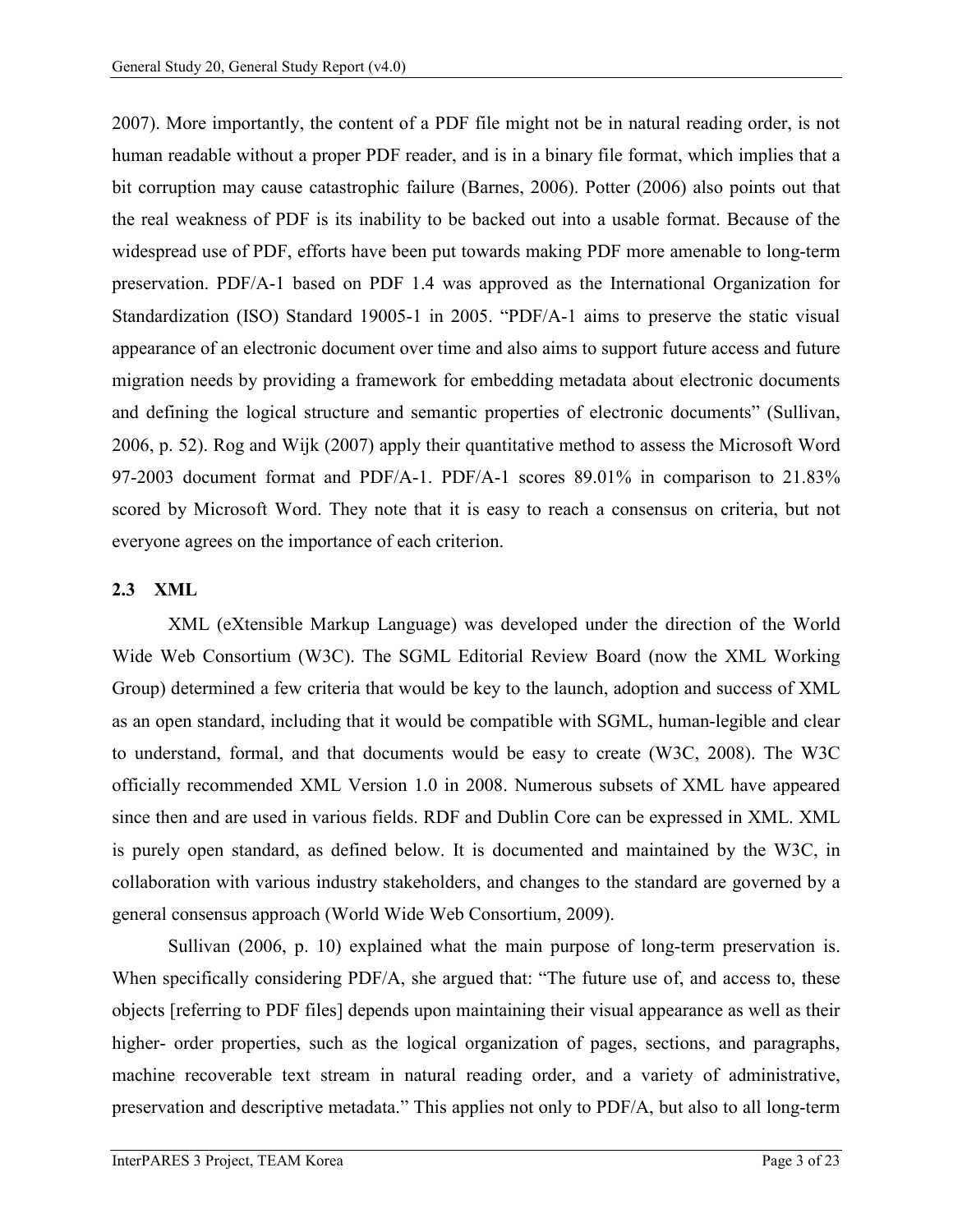2007). More importantly, the content of a PDF file might not be in natural reading order, is not human readable without a proper PDF reader, and is in a binary file format, which implies that a bit corruption may cause catastrophic failure (Barnes, 2006). Potter (2006) also points out that the real weakness of PDF is its inability to be backed out into a usable format. Because of the widespread use of PDF, efforts have been put towards making PDF more amenable to long-term preservation. PDF/A-1 based on PDF 1.4 was approved as the International Organization for Standardization (ISO) Standard 19005-1 in 2005. "PDF/A-1 aims to preserve the static visual appearance of an electronic document over time and also aims to support future access and future migration needs by providing a framework for embedding metadata about electronic documents and defining the logical structure and semantic properties of electronic documents" (Sullivan, 2006, p. 52). Rog and Wijk (2007) apply their quantitative method to assess the Microsoft Word 97-2003 document format and PDF/A-1. PDF/A-1 scores 89.01% in comparison to 21.83% scored by Microsoft Word. They note that it is easy to reach a consensus on criteria, but not everyone agrees on the importance of each criterion.

#### <span id="page-5-0"></span>**2.3 XML**

XML (eXtensible Markup Language) was developed under the direction of the World Wide Web Consortium (W3C). The SGML Editorial Review Board (now the XML Working Group) determined a few criteria that would be key to the launch, adoption and success of XML as an open standard, including that it would be compatible with SGML, human-legible and clear to understand, formal, and that documents would be easy to create (W3C, 2008). The W3C officially recommended XML Version 1.0 in 2008. Numerous subsets of XML have appeared since then and are used in various fields. RDF and Dublin Core can be expressed in XML. XML is purely open standard, as defined below. It is documented and maintained by the W3C, in collaboration with various industry stakeholders, and changes to the standard are governed by a general consensus approach (World Wide Web Consortium, 2009).

Sullivan (2006, p. 10) explained what the main purpose of long-term preservation is. When specifically considering PDF/A, she argued that: "The future use of, and access to, these objects [referring to PDF files] depends upon maintaining their visual appearance as well as their higher- order properties, such as the logical organization of pages, sections, and paragraphs, machine recoverable text stream in natural reading order, and a variety of administrative, preservation and descriptive metadata." This applies not only to PDF/A, but also to all long-term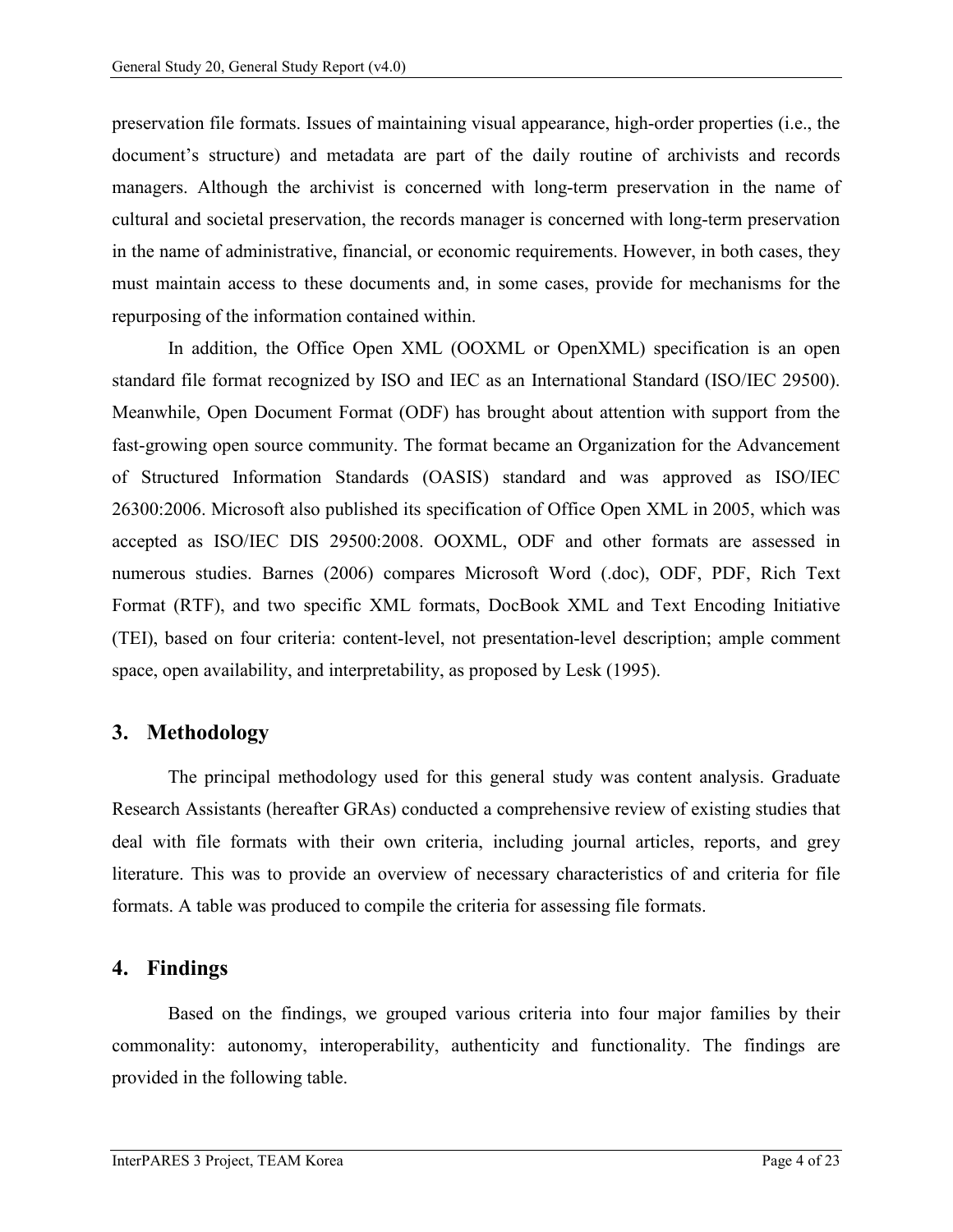preservation file formats. Issues of maintaining visual appearance, high-order properties (i.e., the document's structure) and metadata are part of the daily routine of archivists and records managers. Although the archivist is concerned with long-term preservation in the name of cultural and societal preservation, the records manager is concerned with long-term preservation in the name of administrative, financial, or economic requirements. However, in both cases, they must maintain access to these documents and, in some cases, provide for mechanisms for the repurposing of the information contained within.

In addition, the Office Open XML (OOXML or OpenXML) specification is an open standard file format recognized by ISO and IEC as an International Standard (ISO/IEC 29500). Meanwhile, Open Document Format (ODF) has brought about attention with support from the fast-growing open source community. The format became an Organization for the Advancement of Structured Information Standards (OASIS) standard and was approved as ISO/IEC 26300:2006. Microsoft also published its specification of Office Open XML in 2005, which was accepted as ISO/IEC DIS 29500:2008. OOXML, ODF and other formats are assessed in numerous studies. Barnes (2006) compares Microsoft Word (.doc), ODF, PDF, Rich Text Format (RTF), and two specific XML formats, DocBook XML and Text Encoding Initiative (TEI), based on four criteria: content-level, not presentation-level description; ample comment space, open availability, and interpretability, as proposed by Lesk (1995).

## <span id="page-6-0"></span>**3. Methodology**

The principal methodology used for this general study was content analysis. Graduate Research Assistants (hereafter GRAs) conducted a comprehensive review of existing studies that deal with file formats with their own criteria, including journal articles, reports, and grey literature. This was to provide an overview of necessary characteristics of and criteria for file formats. A table was produced to compile the criteria for assessing file formats.

## <span id="page-6-1"></span>**4. Findings**

Based on the findings, we grouped various criteria into four major families by their commonality: autonomy, interoperability, authenticity and functionality. The findings are provided in the following table.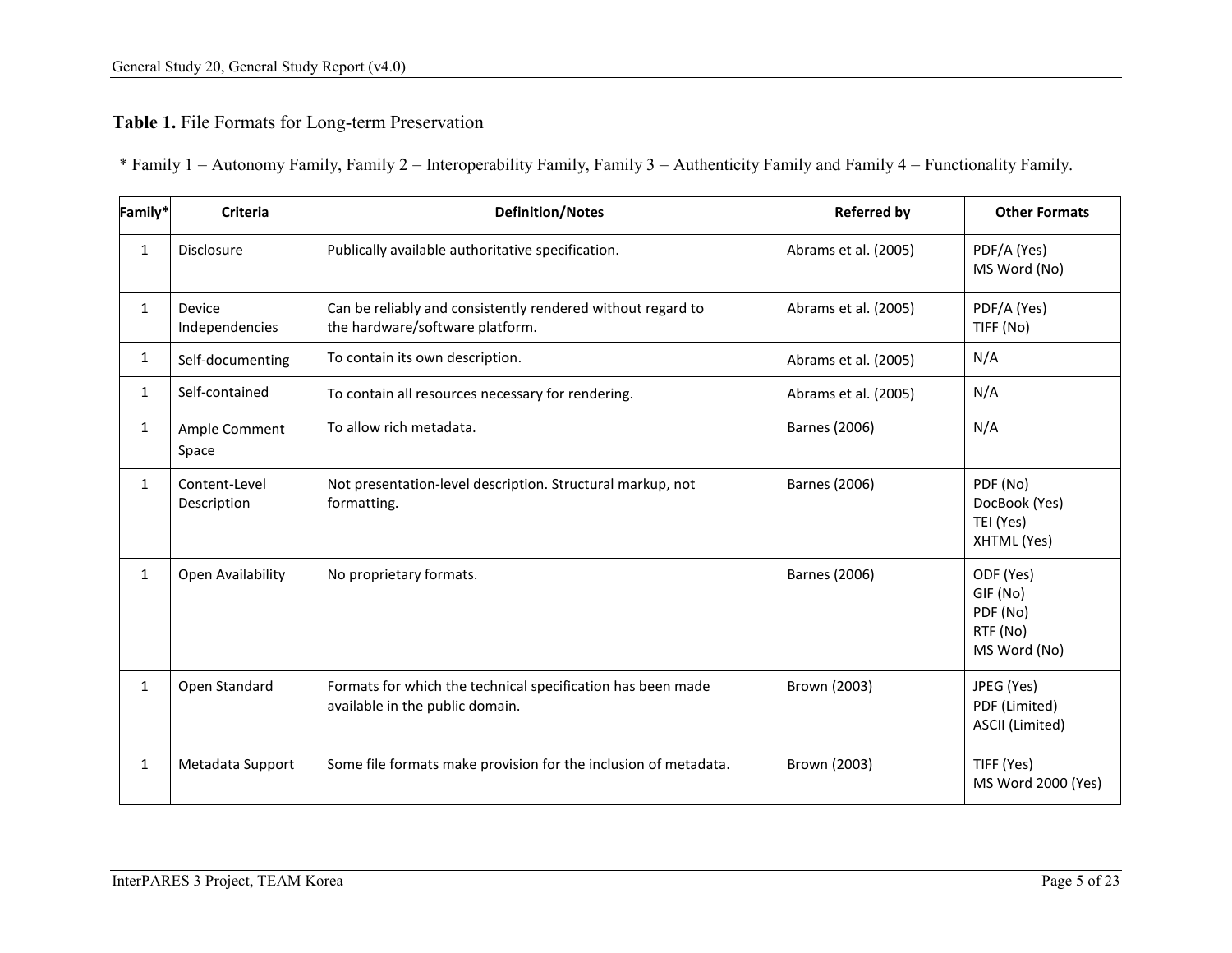## **Table 1.** File Formats for Long-term Preservation

\* Family 1 = Autonomy Family, Family 2 = Interoperability Family, Family 3 = Authenticity Family and Family 4 = Functionality Family.

| Family*      | <b>Criteria</b>              | <b>Definition/Notes</b>                                                                        | <b>Referred by</b>   | <b>Other Formats</b>                                          |
|--------------|------------------------------|------------------------------------------------------------------------------------------------|----------------------|---------------------------------------------------------------|
| $\mathbf{1}$ | <b>Disclosure</b>            | Publically available authoritative specification.                                              | Abrams et al. (2005) | PDF/A (Yes)<br>MS Word (No)                                   |
| $\mathbf{1}$ | Device<br>Independencies     | Can be reliably and consistently rendered without regard to<br>the hardware/software platform. | Abrams et al. (2005) | PDF/A (Yes)<br>TIFF (No)                                      |
| 1            | Self-documenting             | To contain its own description.                                                                | Abrams et al. (2005) | N/A                                                           |
| $\mathbf{1}$ | Self-contained               | To contain all resources necessary for rendering.                                              | Abrams et al. (2005) | N/A                                                           |
| $\mathbf{1}$ | Ample Comment<br>Space       | To allow rich metadata.                                                                        | Barnes (2006)        | N/A                                                           |
| $\mathbf{1}$ | Content-Level<br>Description | Not presentation-level description. Structural markup, not<br>formatting.                      | Barnes (2006)        | PDF (No)<br>DocBook (Yes)<br>TEI (Yes)<br>XHTML (Yes)         |
| $\mathbf{1}$ | Open Availability            | No proprietary formats.                                                                        | Barnes (2006)        | ODF (Yes)<br>GIF (No)<br>PDF (No)<br>RTF (No)<br>MS Word (No) |
| $\mathbf{1}$ | Open Standard                | Formats for which the technical specification has been made<br>available in the public domain. | Brown (2003)         | JPEG (Yes)<br>PDF (Limited)<br>ASCII (Limited)                |
| $\mathbf{1}$ | Metadata Support             | Some file formats make provision for the inclusion of metadata.                                | Brown (2003)         | TIFF (Yes)<br>MS Word 2000 (Yes)                              |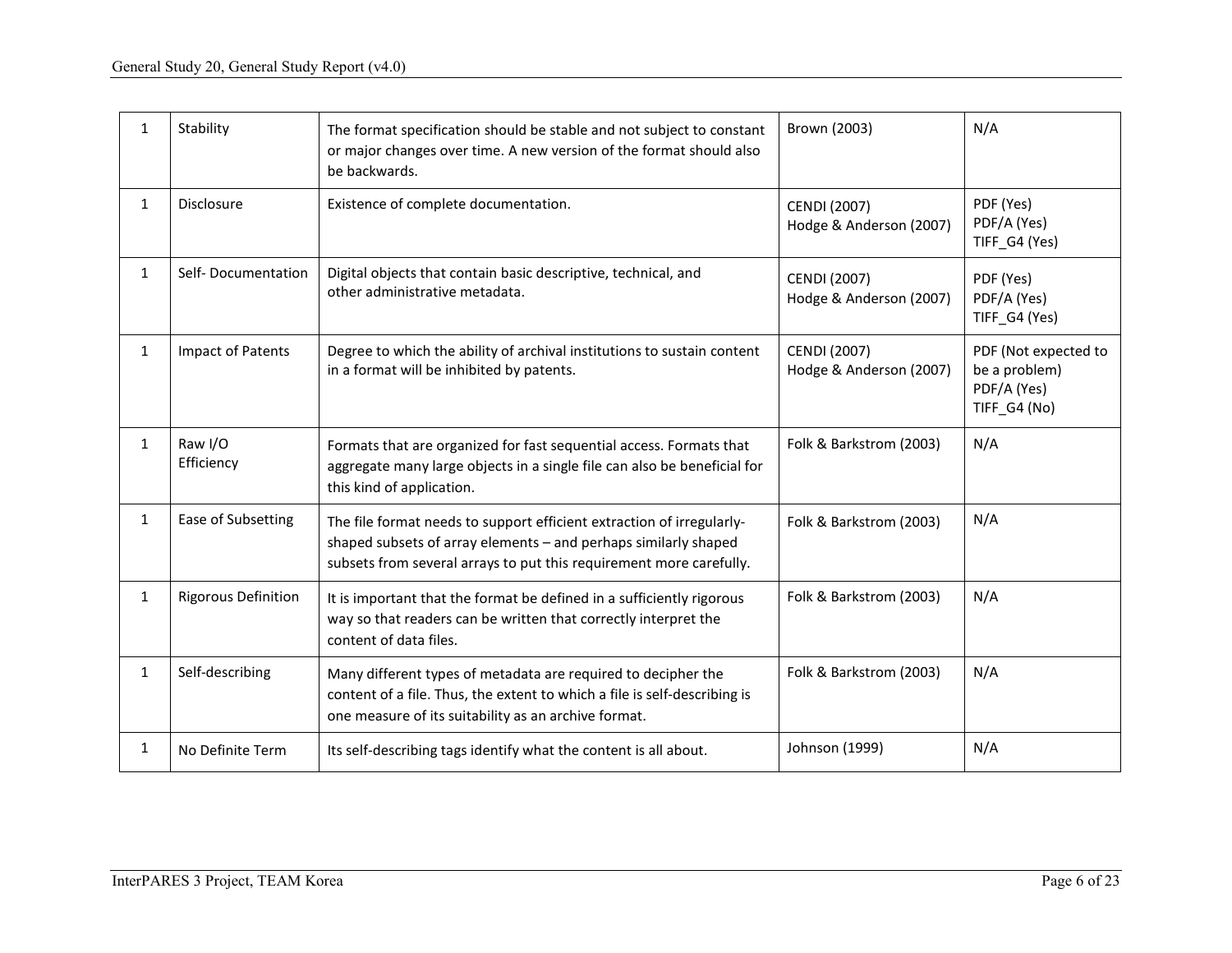| $\mathbf{1}$ | Stability                  | The format specification should be stable and not subject to constant<br>or major changes over time. A new version of the format should also<br>be backwards.                                                   | Brown (2003)                                   | N/A                                                                  |
|--------------|----------------------------|-----------------------------------------------------------------------------------------------------------------------------------------------------------------------------------------------------------------|------------------------------------------------|----------------------------------------------------------------------|
| $\mathbf{1}$ | <b>Disclosure</b>          | Existence of complete documentation.                                                                                                                                                                            | <b>CENDI (2007)</b><br>Hodge & Anderson (2007) | PDF (Yes)<br>PDF/A (Yes)<br>TIFF_G4 (Yes)                            |
| $\mathbf{1}$ | Self-Documentation         | Digital objects that contain basic descriptive, technical, and<br>other administrative metadata.                                                                                                                | <b>CENDI (2007)</b><br>Hodge & Anderson (2007) | PDF (Yes)<br>PDF/A (Yes)<br>TIFF_G4 (Yes)                            |
| $\mathbf{1}$ | Impact of Patents          | Degree to which the ability of archival institutions to sustain content<br>in a format will be inhibited by patents.                                                                                            | <b>CENDI (2007)</b><br>Hodge & Anderson (2007) | PDF (Not expected to<br>be a problem)<br>PDF/A (Yes)<br>TIFF_G4 (No) |
| $\mathbf{1}$ | Raw I/O<br>Efficiency      | Formats that are organized for fast sequential access. Formats that<br>aggregate many large objects in a single file can also be beneficial for<br>this kind of application.                                    | Folk & Barkstrom (2003)                        | N/A                                                                  |
| $\mathbf{1}$ | Ease of Subsetting         | The file format needs to support efficient extraction of irregularly-<br>shaped subsets of array elements - and perhaps similarly shaped<br>subsets from several arrays to put this requirement more carefully. | Folk & Barkstrom (2003)                        | N/A                                                                  |
| 1            | <b>Rigorous Definition</b> | It is important that the format be defined in a sufficiently rigorous<br>way so that readers can be written that correctly interpret the<br>content of data files.                                              | Folk & Barkstrom (2003)                        | N/A                                                                  |
| $\mathbf{1}$ | Self-describing            | Many different types of metadata are required to decipher the<br>content of a file. Thus, the extent to which a file is self-describing is<br>one measure of its suitability as an archive format.              | Folk & Barkstrom (2003)                        | N/A                                                                  |
| 1            | No Definite Term           | Its self-describing tags identify what the content is all about.                                                                                                                                                | Johnson (1999)                                 | N/A                                                                  |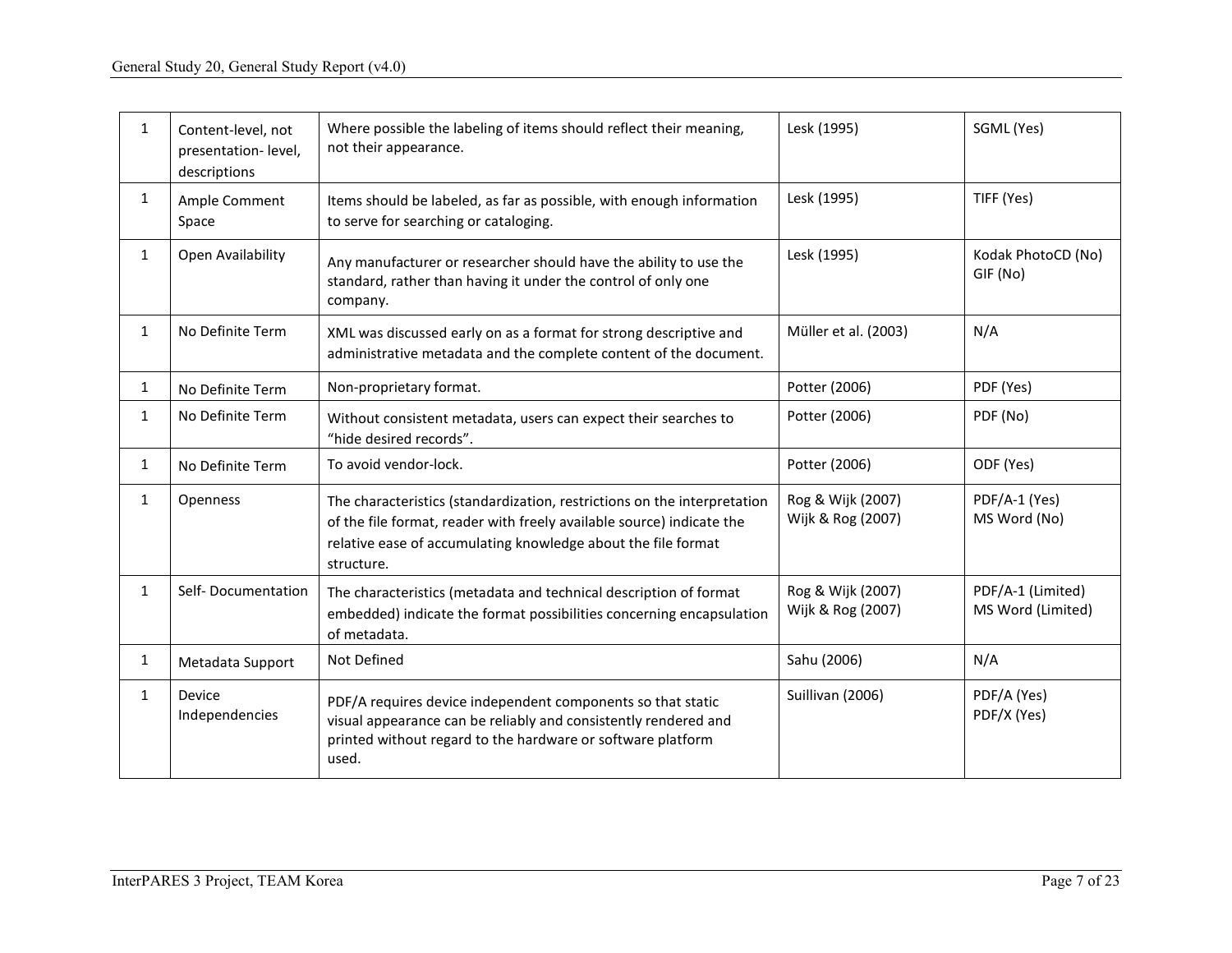| 1            | Content-level, not<br>presentation-level,<br>descriptions | Where possible the labeling of items should reflect their meaning,<br>not their appearance.                                                                                                                                      | Lesk (1995)                            | SGML (Yes)                             |
|--------------|-----------------------------------------------------------|----------------------------------------------------------------------------------------------------------------------------------------------------------------------------------------------------------------------------------|----------------------------------------|----------------------------------------|
| $\mathbf{1}$ | Ample Comment<br>Space                                    | Items should be labeled, as far as possible, with enough information<br>to serve for searching or cataloging.                                                                                                                    | Lesk (1995)                            | TIFF (Yes)                             |
| 1            | Open Availability                                         | Any manufacturer or researcher should have the ability to use the<br>standard, rather than having it under the control of only one<br>company.                                                                                   | Lesk (1995)                            | Kodak PhotoCD (No)<br>GIF (No)         |
| $\mathbf{1}$ | No Definite Term                                          | XML was discussed early on as a format for strong descriptive and<br>administrative metadata and the complete content of the document.                                                                                           | Müller et al. (2003)                   | N/A                                    |
| $\mathbf{1}$ | No Definite Term                                          | Non-proprietary format.                                                                                                                                                                                                          | Potter (2006)                          | PDF (Yes)                              |
| $\mathbf{1}$ | No Definite Term                                          | Without consistent metadata, users can expect their searches to<br>"hide desired records".                                                                                                                                       | Potter (2006)                          | PDF (No)                               |
| $\mathbf{1}$ | No Definite Term                                          | To avoid vendor-lock.                                                                                                                                                                                                            | Potter (2006)                          | ODF (Yes)                              |
| $\mathbf{1}$ | Openness                                                  | The characteristics (standardization, restrictions on the interpretation<br>of the file format, reader with freely available source) indicate the<br>relative ease of accumulating knowledge about the file format<br>structure. | Rog & Wijk (2007)<br>Wijk & Rog (2007) | PDF/A-1 (Yes)<br>MS Word (No)          |
| 1            | Self-Documentation                                        | The characteristics (metadata and technical description of format<br>embedded) indicate the format possibilities concerning encapsulation<br>of metadata.                                                                        | Rog & Wijk (2007)<br>Wijk & Rog (2007) | PDF/A-1 (Limited)<br>MS Word (Limited) |
| $\mathbf{1}$ | Metadata Support                                          | Not Defined                                                                                                                                                                                                                      | Sahu (2006)                            | N/A                                    |
| $\mathbf{1}$ | Device<br>Independencies                                  | PDF/A requires device independent components so that static<br>visual appearance can be reliably and consistently rendered and<br>printed without regard to the hardware or software platform<br>used.                           | Suillivan (2006)                       | PDF/A (Yes)<br>PDF/X (Yes)             |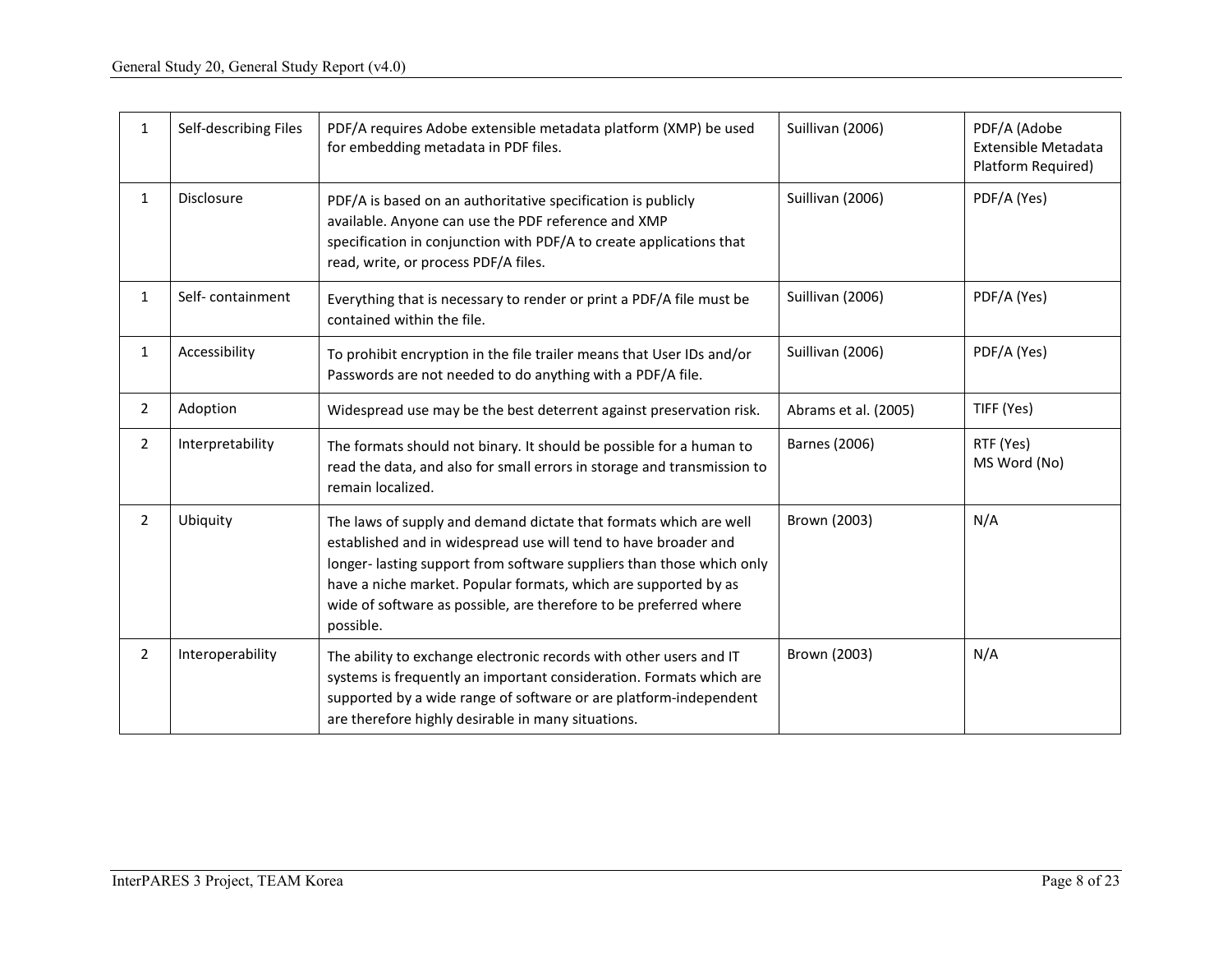| $\mathbf{1}$   | Self-describing Files | PDF/A requires Adobe extensible metadata platform (XMP) be used<br>for embedding metadata in PDF files.                                                                                                                                                                                                                                                           | Suillivan (2006)     | PDF/A (Adobe<br><b>Extensible Metadata</b><br>Platform Required) |
|----------------|-----------------------|-------------------------------------------------------------------------------------------------------------------------------------------------------------------------------------------------------------------------------------------------------------------------------------------------------------------------------------------------------------------|----------------------|------------------------------------------------------------------|
| $\mathbf{1}$   | Disclosure            | PDF/A is based on an authoritative specification is publicly<br>available. Anyone can use the PDF reference and XMP<br>specification in conjunction with PDF/A to create applications that<br>read, write, or process PDF/A files.                                                                                                                                | Suillivan (2006)     | PDF/A (Yes)                                                      |
| $\mathbf{1}$   | Self-containment      | Everything that is necessary to render or print a PDF/A file must be<br>contained within the file.                                                                                                                                                                                                                                                                | Suillivan (2006)     | PDF/A (Yes)                                                      |
| $\mathbf{1}$   | Accessibility         | To prohibit encryption in the file trailer means that User IDs and/or<br>Passwords are not needed to do anything with a PDF/A file.                                                                                                                                                                                                                               | Suillivan (2006)     | PDF/A (Yes)                                                      |
| $\overline{2}$ | Adoption              | Widespread use may be the best deterrent against preservation risk.                                                                                                                                                                                                                                                                                               | Abrams et al. (2005) | TIFF (Yes)                                                       |
| $\overline{2}$ | Interpretability      | The formats should not binary. It should be possible for a human to<br>read the data, and also for small errors in storage and transmission to<br>remain localized.                                                                                                                                                                                               | Barnes (2006)        | RTF (Yes)<br>MS Word (No)                                        |
| 2              | Ubiquity              | The laws of supply and demand dictate that formats which are well<br>established and in widespread use will tend to have broader and<br>longer-lasting support from software suppliers than those which only<br>have a niche market. Popular formats, which are supported by as<br>wide of software as possible, are therefore to be preferred where<br>possible. | Brown (2003)         | N/A                                                              |
| $\overline{2}$ | Interoperability      | The ability to exchange electronic records with other users and IT<br>systems is frequently an important consideration. Formats which are<br>supported by a wide range of software or are platform-independent<br>are therefore highly desirable in many situations.                                                                                              | Brown (2003)         | N/A                                                              |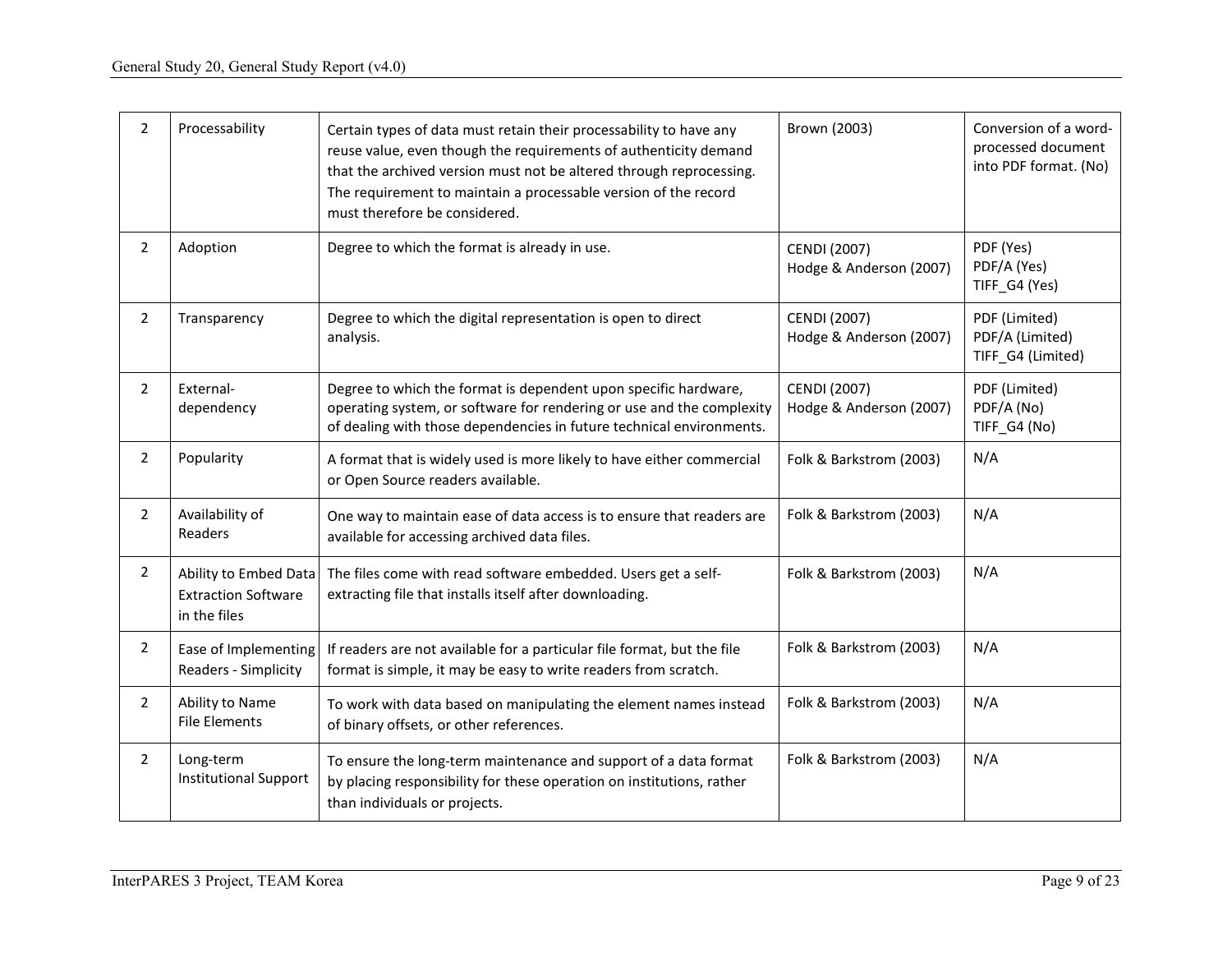| $\overline{2}$ | Processability                                                      | Certain types of data must retain their processability to have any<br>reuse value, even though the requirements of authenticity demand<br>that the archived version must not be altered through reprocessing.<br>The requirement to maintain a processable version of the record<br>must therefore be considered. | Brown (2003)                                   | Conversion of a word-<br>processed document<br>into PDF format. (No) |
|----------------|---------------------------------------------------------------------|-------------------------------------------------------------------------------------------------------------------------------------------------------------------------------------------------------------------------------------------------------------------------------------------------------------------|------------------------------------------------|----------------------------------------------------------------------|
| $\overline{2}$ | Adoption                                                            | Degree to which the format is already in use.                                                                                                                                                                                                                                                                     | CENDI (2007)<br>Hodge & Anderson (2007)        | PDF (Yes)<br>PDF/A (Yes)<br>TIFF_G4 (Yes)                            |
| $\overline{2}$ | Transparency                                                        | Degree to which the digital representation is open to direct<br>analysis.                                                                                                                                                                                                                                         | <b>CENDI (2007)</b><br>Hodge & Anderson (2007) | PDF (Limited)<br>PDF/A (Limited)<br>TIFF_G4 (Limited)                |
| $\overline{2}$ | External-<br>dependency                                             | Degree to which the format is dependent upon specific hardware,<br>operating system, or software for rendering or use and the complexity<br>of dealing with those dependencies in future technical environments.                                                                                                  | <b>CENDI (2007)</b><br>Hodge & Anderson (2007) | PDF (Limited)<br>PDF/A (No)<br>TIFF_G4 (No)                          |
| $\overline{2}$ | Popularity                                                          | A format that is widely used is more likely to have either commercial<br>or Open Source readers available.                                                                                                                                                                                                        | Folk & Barkstrom (2003)                        | N/A                                                                  |
| $\overline{2}$ | Availability of<br>Readers                                          | One way to maintain ease of data access is to ensure that readers are<br>available for accessing archived data files.                                                                                                                                                                                             | Folk & Barkstrom (2003)                        | N/A                                                                  |
| $\mathbf{2}$   | Ability to Embed Data<br><b>Extraction Software</b><br>in the files | The files come with read software embedded. Users get a self-<br>extracting file that installs itself after downloading.                                                                                                                                                                                          | Folk & Barkstrom (2003)                        | N/A                                                                  |
| $\overline{2}$ | Ease of Implementing<br>Readers - Simplicity                        | If readers are not available for a particular file format, but the file<br>format is simple, it may be easy to write readers from scratch.                                                                                                                                                                        | Folk & Barkstrom (2003)                        | N/A                                                                  |
| $\overline{2}$ | Ability to Name<br><b>File Elements</b>                             | To work with data based on manipulating the element names instead<br>of binary offsets, or other references.                                                                                                                                                                                                      | Folk & Barkstrom (2003)                        | N/A                                                                  |
| $\overline{2}$ | Long-term<br><b>Institutional Support</b>                           | To ensure the long-term maintenance and support of a data format<br>by placing responsibility for these operation on institutions, rather<br>than individuals or projects.                                                                                                                                        | Folk & Barkstrom (2003)                        | N/A                                                                  |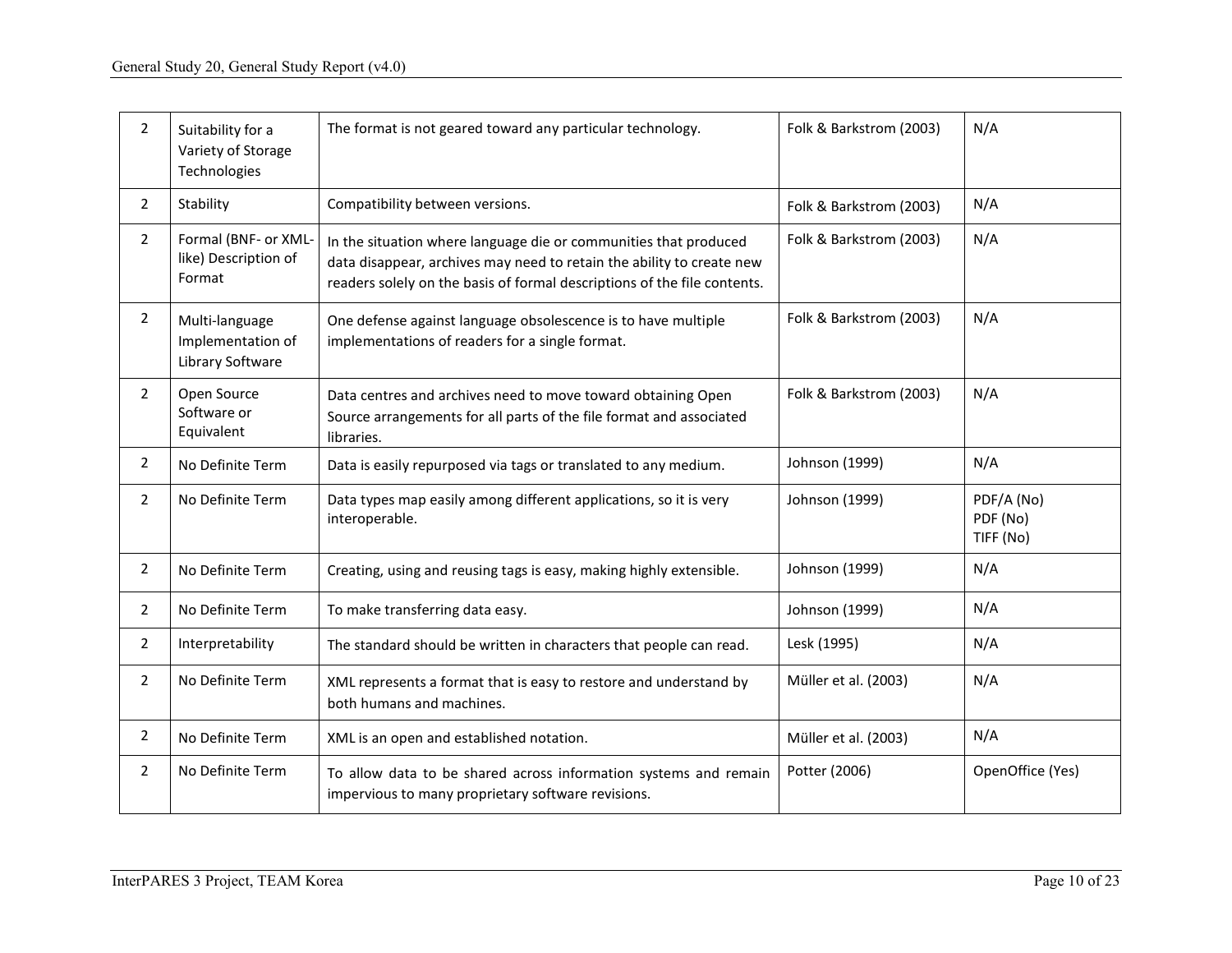| $\mathbf{2}^{\prime}$ | Suitability for a<br>Variety of Storage<br>Technologies | The format is not geared toward any particular technology.                                                                                                                                                            | Folk & Barkstrom (2003) | N/A                                 |
|-----------------------|---------------------------------------------------------|-----------------------------------------------------------------------------------------------------------------------------------------------------------------------------------------------------------------------|-------------------------|-------------------------------------|
| $\overline{2}$        | Stability                                               | Compatibility between versions.                                                                                                                                                                                       | Folk & Barkstrom (2003) | N/A                                 |
| $\overline{2}$        | Formal (BNF- or XML-<br>like) Description of<br>Format  | In the situation where language die or communities that produced<br>data disappear, archives may need to retain the ability to create new<br>readers solely on the basis of formal descriptions of the file contents. | Folk & Barkstrom (2003) | N/A                                 |
| $\overline{2}$        | Multi-language<br>Implementation of<br>Library Software | One defense against language obsolescence is to have multiple<br>implementations of readers for a single format.                                                                                                      | Folk & Barkstrom (2003) | N/A                                 |
| $\overline{2}$        | Open Source<br>Software or<br>Equivalent                | Data centres and archives need to move toward obtaining Open<br>Source arrangements for all parts of the file format and associated<br>libraries.                                                                     | Folk & Barkstrom (2003) | N/A                                 |
| $\overline{2}$        | No Definite Term                                        | Data is easily repurposed via tags or translated to any medium.                                                                                                                                                       | Johnson (1999)          | N/A                                 |
| $\overline{2}$        | No Definite Term                                        | Data types map easily among different applications, so it is very<br>interoperable.                                                                                                                                   | Johnson (1999)          | PDF/A (No)<br>PDF (No)<br>TIFF (No) |
| $\overline{2}$        | No Definite Term                                        | Creating, using and reusing tags is easy, making highly extensible.                                                                                                                                                   | Johnson (1999)          | N/A                                 |
| $\overline{2}$        | No Definite Term                                        | To make transferring data easy.                                                                                                                                                                                       | Johnson (1999)          | N/A                                 |
| $\overline{2}$        | Interpretability                                        | The standard should be written in characters that people can read.                                                                                                                                                    | Lesk (1995)             | N/A                                 |
| $\overline{2}$        | No Definite Term                                        | XML represents a format that is easy to restore and understand by<br>both humans and machines.                                                                                                                        | Müller et al. (2003)    | N/A                                 |
| $\overline{2}$        | No Definite Term                                        | XML is an open and established notation.                                                                                                                                                                              | Müller et al. (2003)    | N/A                                 |
| $\overline{2}$        | No Definite Term                                        | To allow data to be shared across information systems and remain<br>impervious to many proprietary software revisions.                                                                                                | Potter (2006)           | OpenOffice (Yes)                    |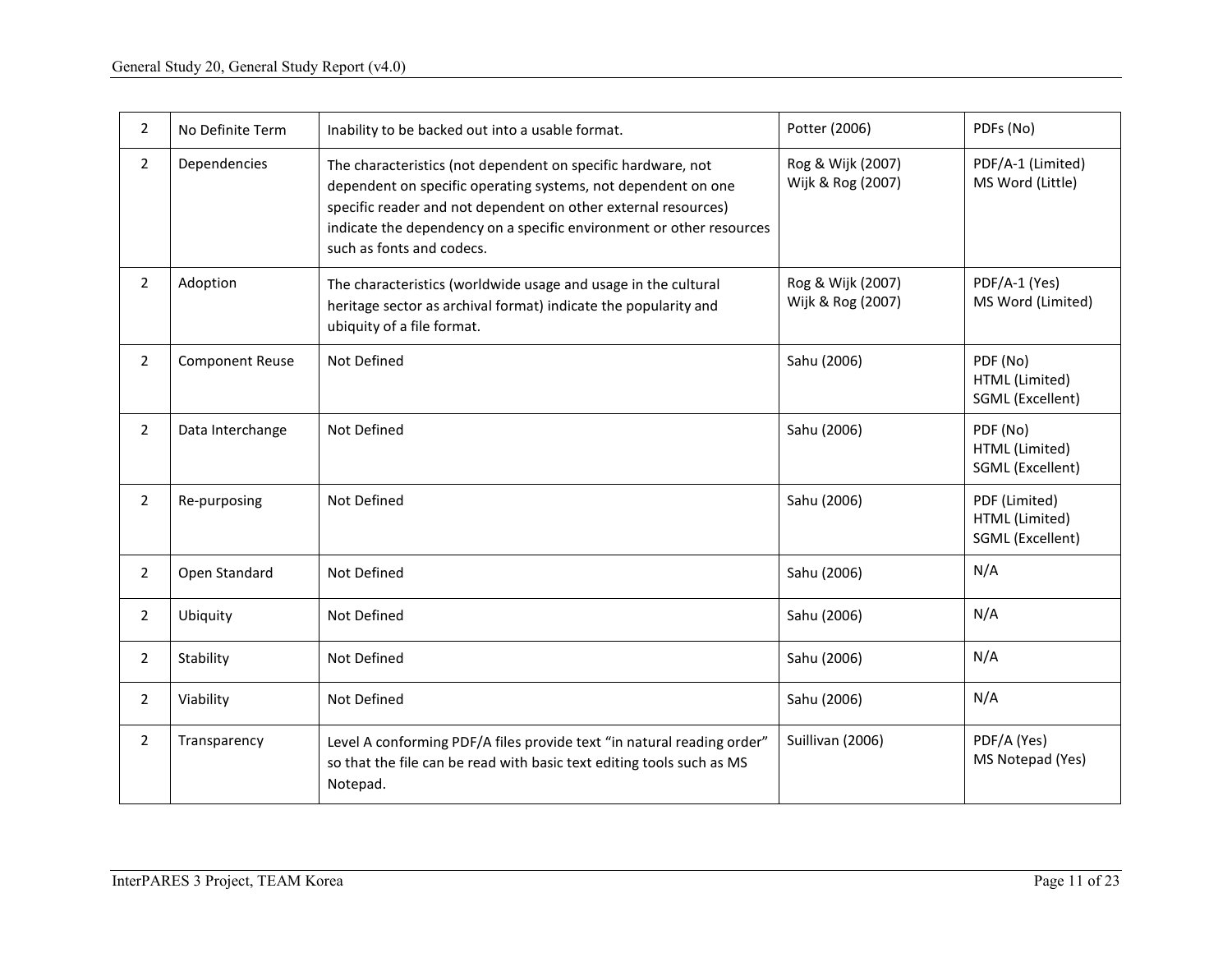| $\overline{2}$ | No Definite Term       | Inability to be backed out into a usable format.                                                                                                                                                                                                                                                     | Potter (2006)                          | PDFs (No)                                           |
|----------------|------------------------|------------------------------------------------------------------------------------------------------------------------------------------------------------------------------------------------------------------------------------------------------------------------------------------------------|----------------------------------------|-----------------------------------------------------|
| $\overline{2}$ | Dependencies           | The characteristics (not dependent on specific hardware, not<br>dependent on specific operating systems, not dependent on one<br>specific reader and not dependent on other external resources)<br>indicate the dependency on a specific environment or other resources<br>such as fonts and codecs. | Rog & Wijk (2007)<br>Wijk & Rog (2007) | PDF/A-1 (Limited)<br>MS Word (Little)               |
| $\overline{2}$ | Adoption               | The characteristics (worldwide usage and usage in the cultural<br>heritage sector as archival format) indicate the popularity and<br>ubiquity of a file format.                                                                                                                                      | Rog & Wijk (2007)<br>Wijk & Rog (2007) | PDF/A-1 (Yes)<br>MS Word (Limited)                  |
| $\overline{2}$ | <b>Component Reuse</b> | Not Defined                                                                                                                                                                                                                                                                                          | Sahu (2006)                            | PDF (No)<br>HTML (Limited)<br>SGML (Excellent)      |
| $\overline{2}$ | Data Interchange       | Not Defined                                                                                                                                                                                                                                                                                          | Sahu (2006)                            | PDF (No)<br>HTML (Limited)<br>SGML (Excellent)      |
| $\overline{2}$ | Re-purposing           | Not Defined                                                                                                                                                                                                                                                                                          | Sahu (2006)                            | PDF (Limited)<br>HTML (Limited)<br>SGML (Excellent) |
| $\overline{2}$ | Open Standard          | Not Defined                                                                                                                                                                                                                                                                                          | Sahu (2006)                            | N/A                                                 |
| $\mathbf{2}$   | Ubiquity               | Not Defined                                                                                                                                                                                                                                                                                          | Sahu (2006)                            | N/A                                                 |
| $\overline{2}$ | Stability              | Not Defined                                                                                                                                                                                                                                                                                          | Sahu (2006)                            | N/A                                                 |
| $\overline{2}$ | Viability              | Not Defined                                                                                                                                                                                                                                                                                          | Sahu (2006)                            | N/A                                                 |
| $\overline{2}$ | Transparency           | Level A conforming PDF/A files provide text "in natural reading order"<br>so that the file can be read with basic text editing tools such as MS<br>Notepad.                                                                                                                                          | Suillivan (2006)                       | PDF/A (Yes)<br>MS Notepad (Yes)                     |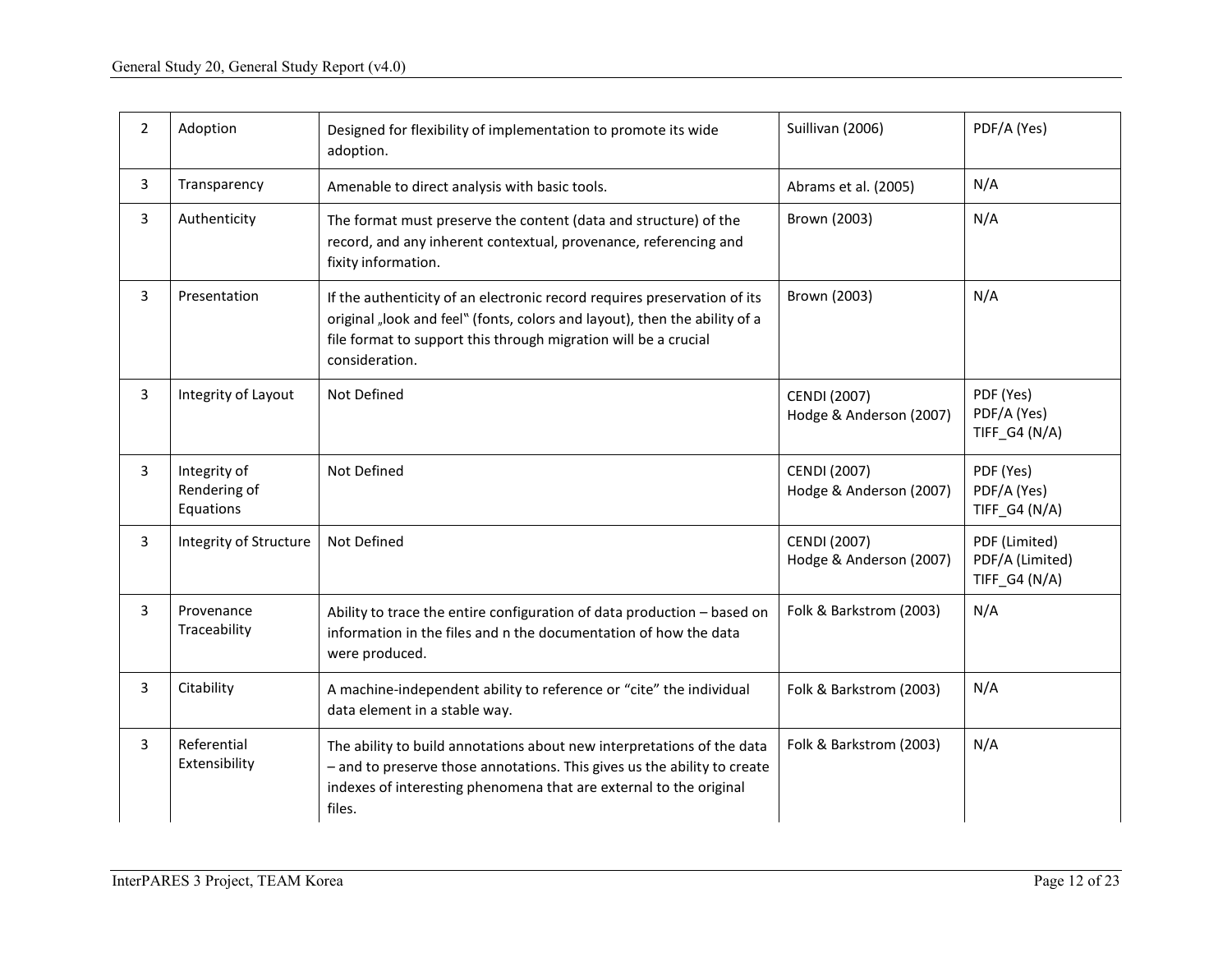| $\overline{2}$ | Adoption                                  | Designed for flexibility of implementation to promote its wide<br>adoption.                                                                                                                                                                 | Suillivan (2006)                               | PDF/A (Yes)                                       |
|----------------|-------------------------------------------|---------------------------------------------------------------------------------------------------------------------------------------------------------------------------------------------------------------------------------------------|------------------------------------------------|---------------------------------------------------|
| 3              | Transparency                              | Amenable to direct analysis with basic tools.                                                                                                                                                                                               | Abrams et al. (2005)                           | N/A                                               |
| 3              | Authenticity                              | The format must preserve the content (data and structure) of the<br>record, and any inherent contextual, provenance, referencing and<br>fixity information.                                                                                 | Brown (2003)                                   | N/A                                               |
| 3              | Presentation                              | If the authenticity of an electronic record requires preservation of its<br>original "look and feel" (fonts, colors and layout), then the ability of a<br>file format to support this through migration will be a crucial<br>consideration. | Brown (2003)                                   | N/A                                               |
| $\overline{3}$ | Integrity of Layout                       | Not Defined                                                                                                                                                                                                                                 | <b>CENDI (2007)</b><br>Hodge & Anderson (2007) | PDF (Yes)<br>PDF/A (Yes)<br>TIFF_G4 (N/A)         |
| 3              | Integrity of<br>Rendering of<br>Equations | Not Defined                                                                                                                                                                                                                                 | <b>CENDI (2007)</b><br>Hodge & Anderson (2007) | PDF (Yes)<br>PDF/A (Yes)<br>TIFF_G4 (N/A)         |
| 3              | Integrity of Structure                    | Not Defined                                                                                                                                                                                                                                 | <b>CENDI (2007)</b><br>Hodge & Anderson (2007) | PDF (Limited)<br>PDF/A (Limited)<br>TIFF_G4 (N/A) |
| 3              | Provenance<br>Traceability                | Ability to trace the entire configuration of data production - based on<br>information in the files and n the documentation of how the data<br>were produced.                                                                               | Folk & Barkstrom (2003)                        | N/A                                               |
| 3              | Citability                                | A machine-independent ability to reference or "cite" the individual<br>data element in a stable way.                                                                                                                                        | Folk & Barkstrom (2003)                        | N/A                                               |
| 3              | Referential<br>Extensibility              | The ability to build annotations about new interpretations of the data<br>- and to preserve those annotations. This gives us the ability to create<br>indexes of interesting phenomena that are external to the original<br>files.          | Folk & Barkstrom (2003)                        | N/A                                               |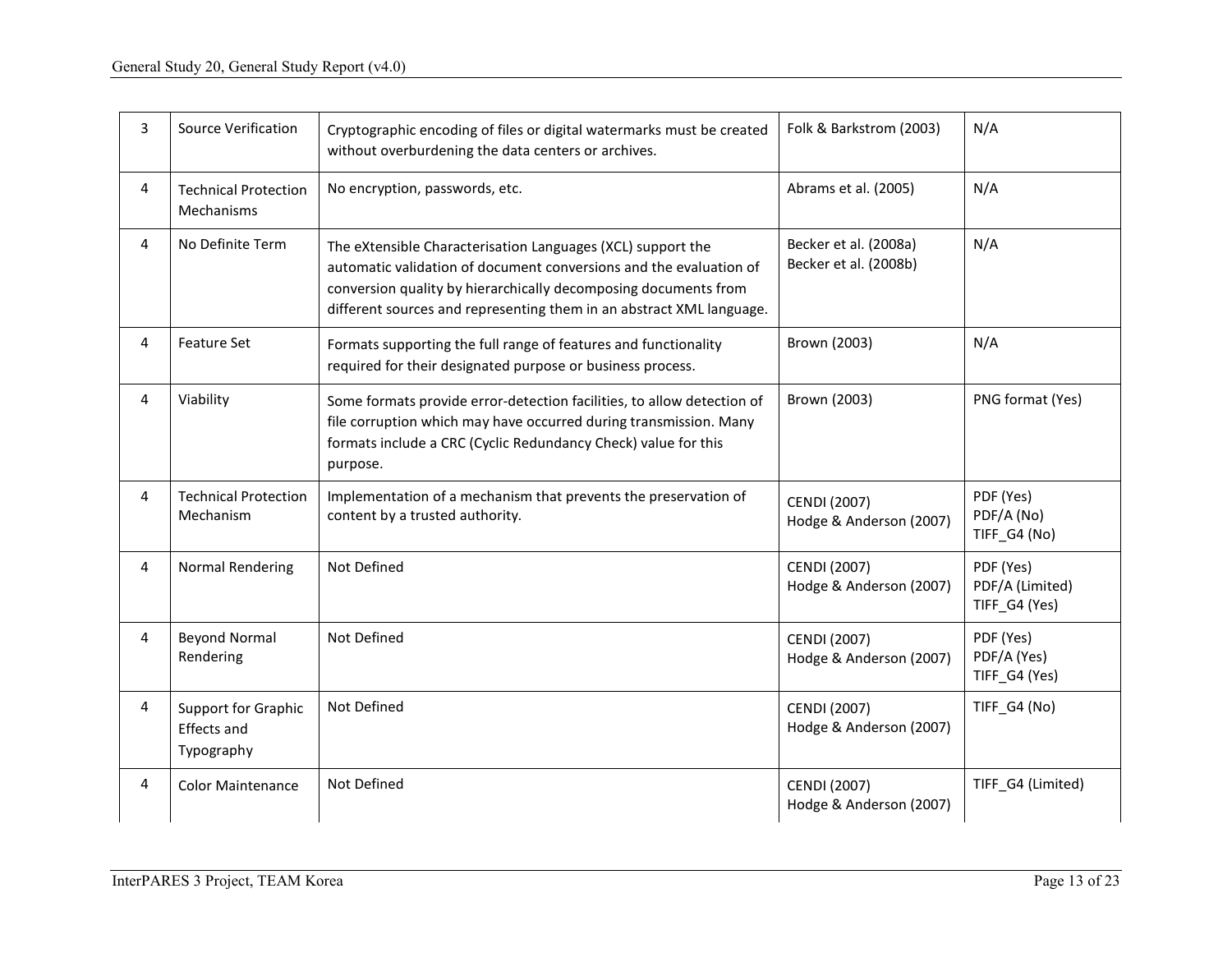| 3 | <b>Source Verification</b>                       | Cryptographic encoding of files or digital watermarks must be created<br>without overburdening the data centers or archives.                                                                                                                                                 | Folk & Barkstrom (2003)                        | N/A                                           |
|---|--------------------------------------------------|------------------------------------------------------------------------------------------------------------------------------------------------------------------------------------------------------------------------------------------------------------------------------|------------------------------------------------|-----------------------------------------------|
| 4 | <b>Technical Protection</b><br>Mechanisms        | No encryption, passwords, etc.                                                                                                                                                                                                                                               | Abrams et al. (2005)                           | N/A                                           |
| 4 | No Definite Term                                 | The eXtensible Characterisation Languages (XCL) support the<br>automatic validation of document conversions and the evaluation of<br>conversion quality by hierarchically decomposing documents from<br>different sources and representing them in an abstract XML language. | Becker et al. (2008a)<br>Becker et al. (2008b) | N/A                                           |
| 4 | <b>Feature Set</b>                               | Formats supporting the full range of features and functionality<br>required for their designated purpose or business process.                                                                                                                                                | Brown (2003)                                   | N/A                                           |
| 4 | Viability                                        | Some formats provide error-detection facilities, to allow detection of<br>file corruption which may have occurred during transmission. Many<br>formats include a CRC (Cyclic Redundancy Check) value for this<br>purpose.                                                    | Brown (2003)                                   | PNG format (Yes)                              |
| 4 | <b>Technical Protection</b><br>Mechanism         | Implementation of a mechanism that prevents the preservation of<br>content by a trusted authority.                                                                                                                                                                           | <b>CENDI (2007)</b><br>Hodge & Anderson (2007) | PDF (Yes)<br>PDF/A (No)<br>TIFF_G4 (No)       |
| 4 | Normal Rendering                                 | Not Defined                                                                                                                                                                                                                                                                  | <b>CENDI</b> (2007)<br>Hodge & Anderson (2007) | PDF (Yes)<br>PDF/A (Limited)<br>TIFF_G4 (Yes) |
| 4 | <b>Beyond Normal</b><br>Rendering                | Not Defined                                                                                                                                                                                                                                                                  | <b>CENDI</b> (2007)<br>Hodge & Anderson (2007) | PDF (Yes)<br>PDF/A (Yes)<br>TIFF_G4 (Yes)     |
| 4 | Support for Graphic<br>Effects and<br>Typography | Not Defined                                                                                                                                                                                                                                                                  | <b>CENDI (2007)</b><br>Hodge & Anderson (2007) | TIFF_G4 (No)                                  |
| 4 | <b>Color Maintenance</b>                         | Not Defined                                                                                                                                                                                                                                                                  | <b>CENDI (2007)</b><br>Hodge & Anderson (2007) | TIFF_G4 (Limited)                             |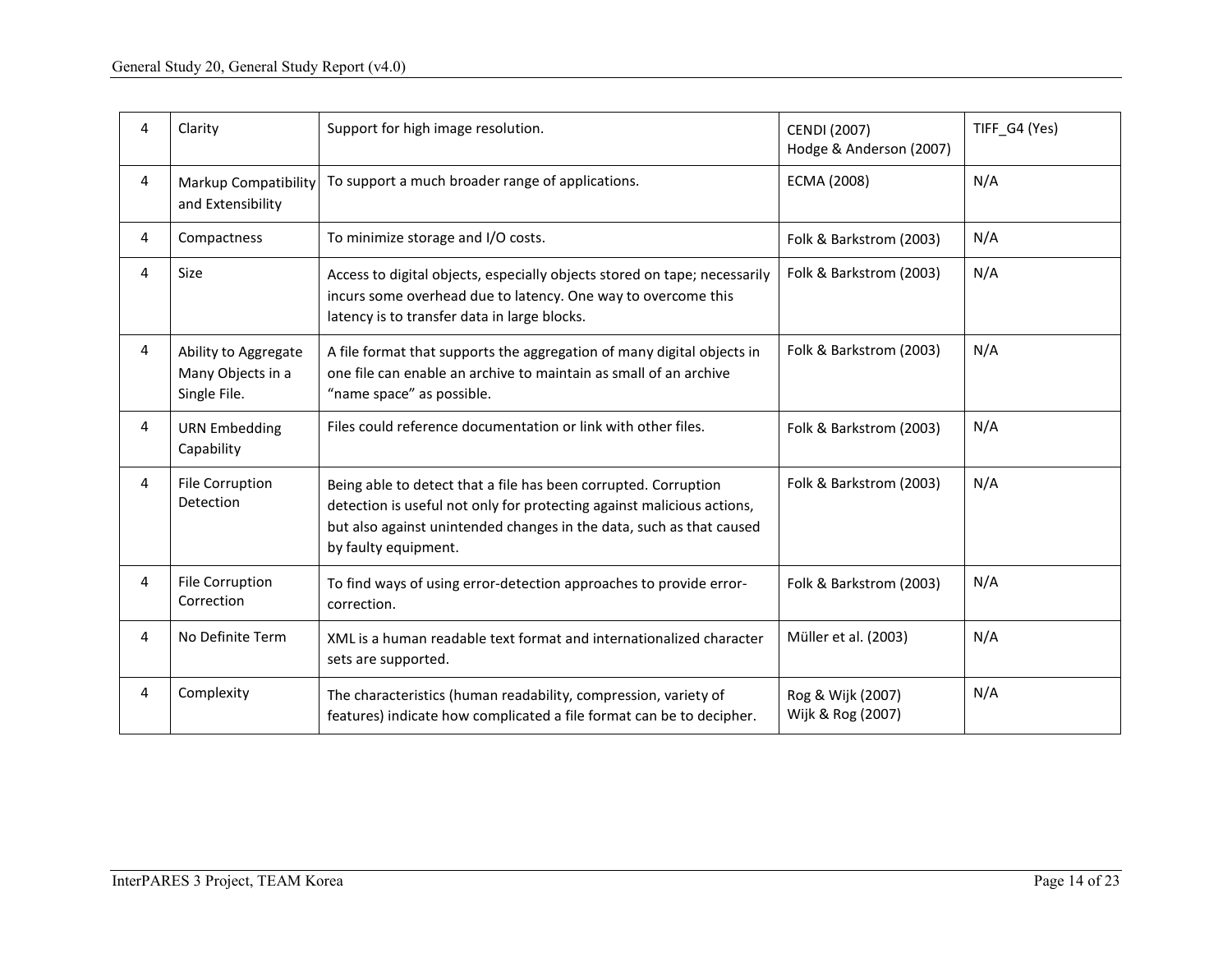| 4 | Clarity                                                   | Support for high image resolution.                                                                                                                                                                                                        | <b>CENDI (2007)</b><br>Hodge & Anderson (2007) | TIFF_G4 (Yes) |
|---|-----------------------------------------------------------|-------------------------------------------------------------------------------------------------------------------------------------------------------------------------------------------------------------------------------------------|------------------------------------------------|---------------|
| 4 | Markup Compatibility<br>and Extensibility                 | To support a much broader range of applications.                                                                                                                                                                                          | ECMA (2008)                                    | N/A           |
| 4 | Compactness                                               | To minimize storage and I/O costs.                                                                                                                                                                                                        | Folk & Barkstrom (2003)                        | N/A           |
| 4 | <b>Size</b>                                               | Access to digital objects, especially objects stored on tape; necessarily<br>incurs some overhead due to latency. One way to overcome this<br>latency is to transfer data in large blocks.                                                | Folk & Barkstrom (2003)                        | N/A           |
| 4 | Ability to Aggregate<br>Many Objects in a<br>Single File. | A file format that supports the aggregation of many digital objects in<br>one file can enable an archive to maintain as small of an archive<br>"name space" as possible.                                                                  | Folk & Barkstrom (2003)                        | N/A           |
| 4 | <b>URN Embedding</b><br>Capability                        | Files could reference documentation or link with other files.                                                                                                                                                                             | Folk & Barkstrom (2003)                        | N/A           |
| 4 | File Corruption<br><b>Detection</b>                       | Being able to detect that a file has been corrupted. Corruption<br>detection is useful not only for protecting against malicious actions,<br>but also against unintended changes in the data, such as that caused<br>by faulty equipment. | Folk & Barkstrom (2003)                        | N/A           |
| 4 | File Corruption<br>Correction                             | To find ways of using error-detection approaches to provide error-<br>correction.                                                                                                                                                         | Folk & Barkstrom (2003)                        | N/A           |
| 4 | No Definite Term                                          | XML is a human readable text format and internationalized character<br>sets are supported.                                                                                                                                                | Müller et al. (2003)                           | N/A           |
| 4 | Complexity                                                | The characteristics (human readability, compression, variety of<br>features) indicate how complicated a file format can be to decipher.                                                                                                   | Rog & Wijk (2007)<br>Wijk & Rog (2007)         | N/A           |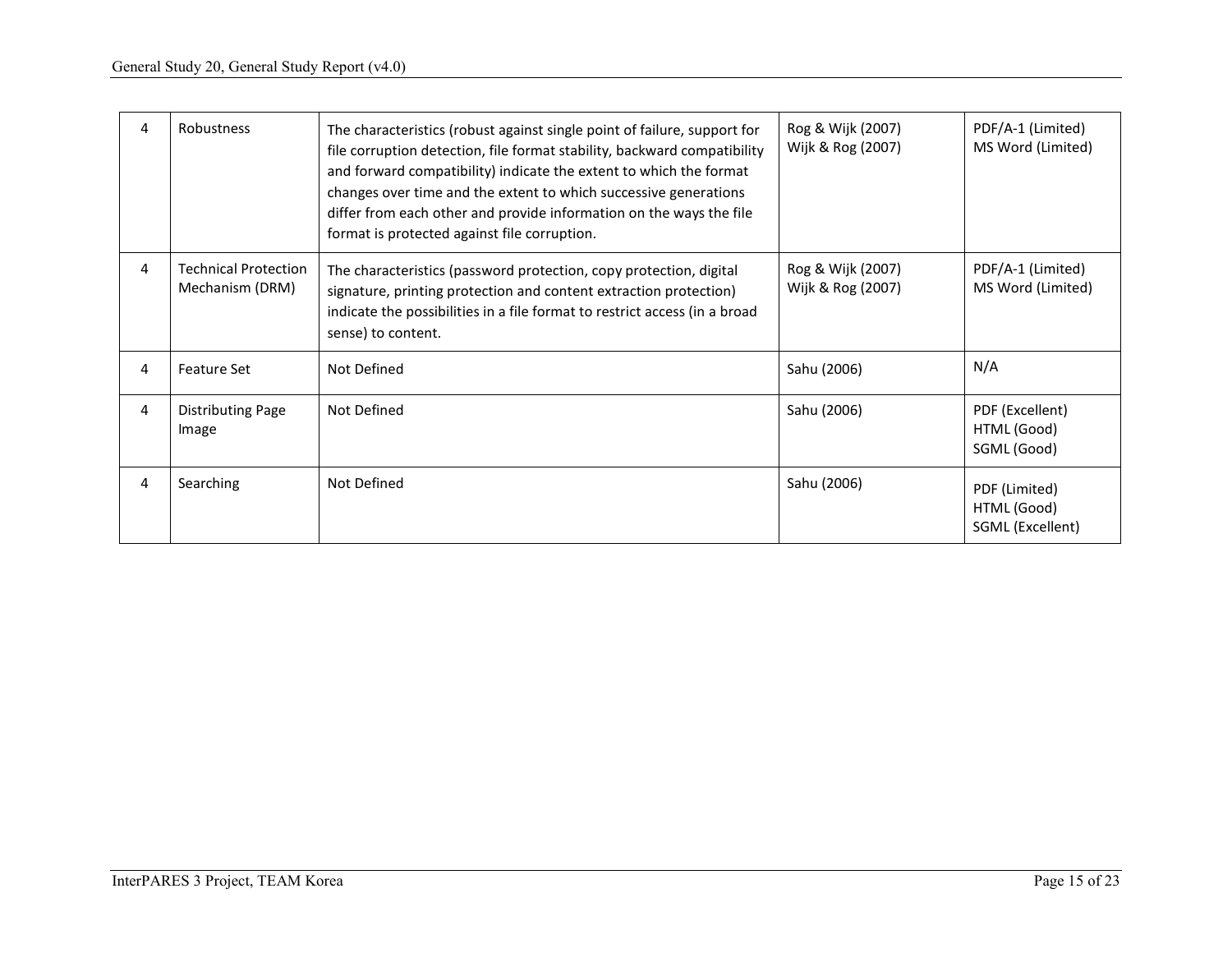| 4 | Robustness                                     | The characteristics (robust against single point of failure, support for<br>file corruption detection, file format stability, backward compatibility<br>and forward compatibility) indicate the extent to which the format<br>changes over time and the extent to which successive generations<br>differ from each other and provide information on the ways the file<br>format is protected against file corruption. | Rog & Wijk (2007)<br>Wijk & Rog (2007) | PDF/A-1 (Limited)<br>MS Word (Limited)           |
|---|------------------------------------------------|-----------------------------------------------------------------------------------------------------------------------------------------------------------------------------------------------------------------------------------------------------------------------------------------------------------------------------------------------------------------------------------------------------------------------|----------------------------------------|--------------------------------------------------|
| 4 | <b>Technical Protection</b><br>Mechanism (DRM) | The characteristics (password protection, copy protection, digital<br>signature, printing protection and content extraction protection)<br>indicate the possibilities in a file format to restrict access (in a broad<br>sense) to content.                                                                                                                                                                           | Rog & Wijk (2007)<br>Wijk & Rog (2007) | PDF/A-1 (Limited)<br>MS Word (Limited)           |
| 4 | <b>Feature Set</b>                             | Not Defined                                                                                                                                                                                                                                                                                                                                                                                                           | Sahu (2006)                            | N/A                                              |
| 4 | <b>Distributing Page</b><br>Image              | Not Defined                                                                                                                                                                                                                                                                                                                                                                                                           | Sahu (2006)                            | PDF (Excellent)<br>HTML (Good)<br>SGML (Good)    |
| 4 | Searching                                      | Not Defined                                                                                                                                                                                                                                                                                                                                                                                                           | Sahu (2006)                            | PDF (Limited)<br>HTML (Good)<br>SGML (Excellent) |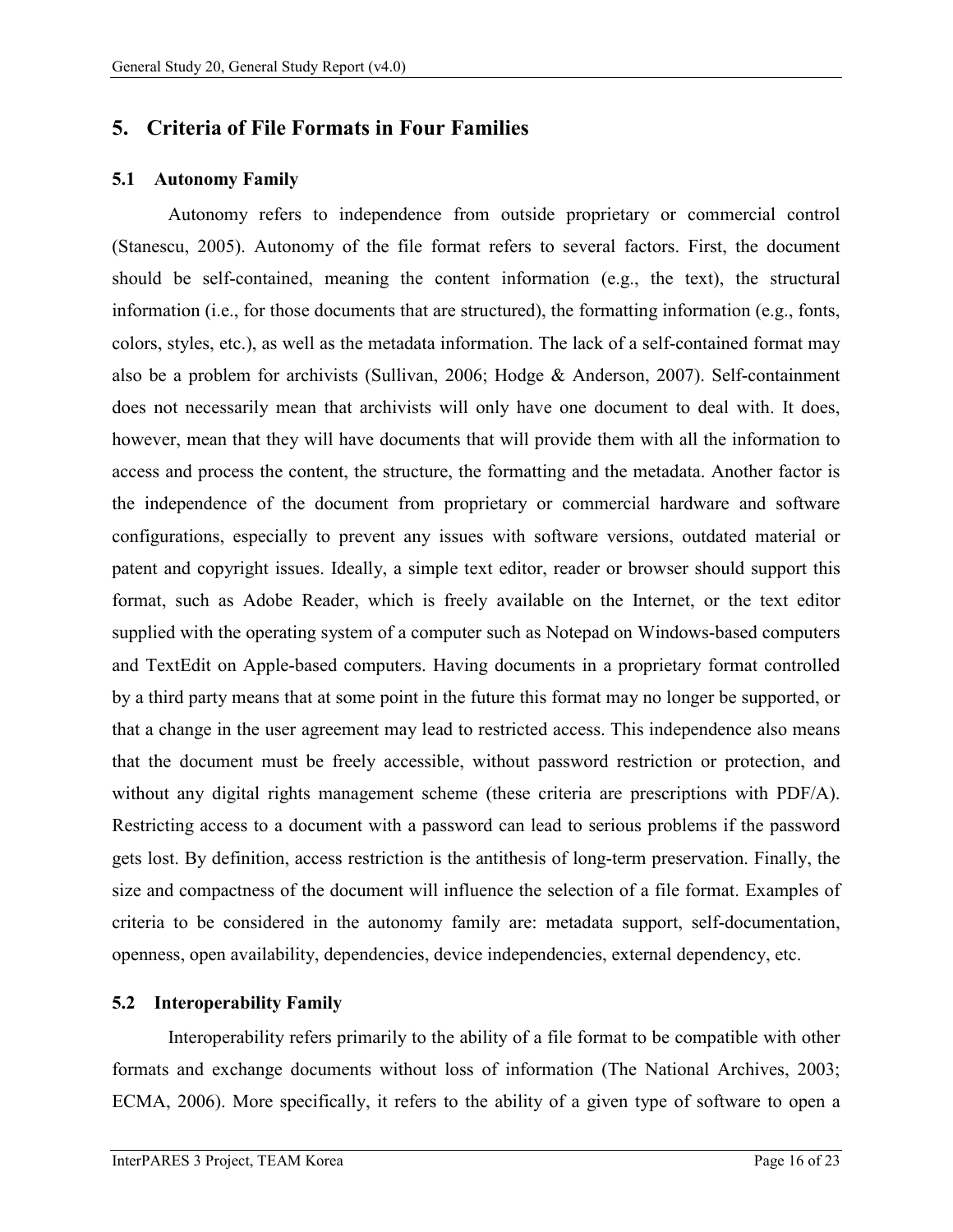## <span id="page-18-0"></span>**5. Criteria of File Formats in Four Families**

#### <span id="page-18-1"></span>**5.1 Autonomy Family**

Autonomy refers to independence from outside proprietary or commercial control (Stanescu, 2005). Autonomy of the file format refers to several factors. First, the document should be self-contained, meaning the content information (e.g., the text), the structural information (i.e., for those documents that are structured), the formatting information (e.g., fonts, colors, styles, etc.), as well as the metadata information. The lack of a self-contained format may also be a problem for archivists (Sullivan, 2006; Hodge & Anderson, 2007). Self-containment does not necessarily mean that archivists will only have one document to deal with. It does, however, mean that they will have documents that will provide them with all the information to access and process the content, the structure, the formatting and the metadata. Another factor is the independence of the document from proprietary or commercial hardware and software configurations, especially to prevent any issues with software versions, outdated material or patent and copyright issues. Ideally, a simple text editor, reader or browser should support this format, such as Adobe Reader, which is freely available on the Internet, or the text editor supplied with the operating system of a computer such as Notepad on Windows-based computers and TextEdit on Apple-based computers. Having documents in a proprietary format controlled by a third party means that at some point in the future this format may no longer be supported, or that a change in the user agreement may lead to restricted access. This independence also means that the document must be freely accessible, without password restriction or protection, and without any digital rights management scheme (these criteria are prescriptions with PDF/A). Restricting access to a document with a password can lead to serious problems if the password gets lost. By definition, access restriction is the antithesis of long-term preservation. Finally, the size and compactness of the document will influence the selection of a file format. Examples of criteria to be considered in the autonomy family are: metadata support, self-documentation, openness, open availability, dependencies, device independencies, external dependency, etc.

#### <span id="page-18-2"></span>**5.2 Interoperability Family**

Interoperability refers primarily to the ability of a file format to be compatible with other formats and exchange documents without loss of information (The National Archives, 2003; ECMA, 2006). More specifically, it refers to the ability of a given type of software to open a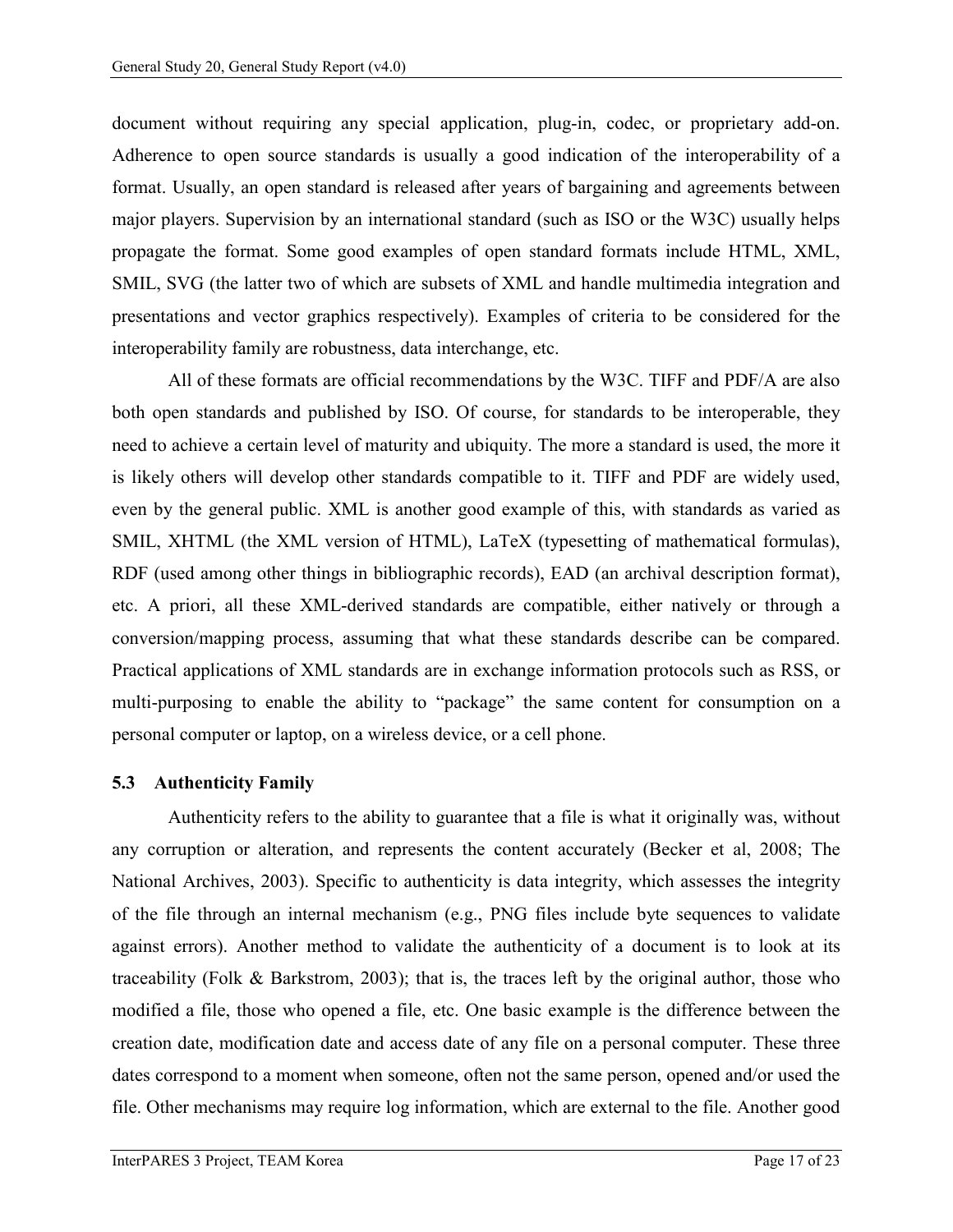document without requiring any special application, plug-in, codec, or proprietary add-on. Adherence to open source standards is usually a good indication of the interoperability of a format. Usually, an open standard is released after years of bargaining and agreements between major players. Supervision by an international standard (such as ISO or the W3C) usually helps propagate the format. Some good examples of open standard formats include HTML, XML, SMIL, SVG (the latter two of which are subsets of XML and handle multimedia integration and presentations and vector graphics respectively). Examples of criteria to be considered for the interoperability family are robustness, data interchange, etc.

All of these formats are official recommendations by the W3C. TIFF and PDF/A are also both open standards and published by ISO. Of course, for standards to be interoperable, they need to achieve a certain level of maturity and ubiquity. The more a standard is used, the more it is likely others will develop other standards compatible to it. TIFF and PDF are widely used, even by the general public. XML is another good example of this, with standards as varied as SMIL, XHTML (the XML version of HTML), LaTeX (typesetting of mathematical formulas), RDF (used among other things in bibliographic records), EAD (an archival description format), etc. A priori, all these XML-derived standards are compatible, either natively or through a conversion/mapping process, assuming that what these standards describe can be compared. Practical applications of XML standards are in exchange information protocols such as RSS, or multi-purposing to enable the ability to "package" the same content for consumption on a personal computer or laptop, on a wireless device, or a cell phone.

#### <span id="page-19-0"></span>**5.3 Authenticity Family**

Authenticity refers to the ability to guarantee that a file is what it originally was, without any corruption or alteration, and represents the content accurately (Becker et al, 2008; The National Archives, 2003). Specific to authenticity is data integrity, which assesses the integrity of the file through an internal mechanism (e.g., PNG files include byte sequences to validate against errors). Another method to validate the authenticity of a document is to look at its traceability (Folk & Barkstrom, 2003); that is, the traces left by the original author, those who modified a file, those who opened a file, etc. One basic example is the difference between the creation date, modification date and access date of any file on a personal computer. These three dates correspond to a moment when someone, often not the same person, opened and/or used the file. Other mechanisms may require log information, which are external to the file. Another good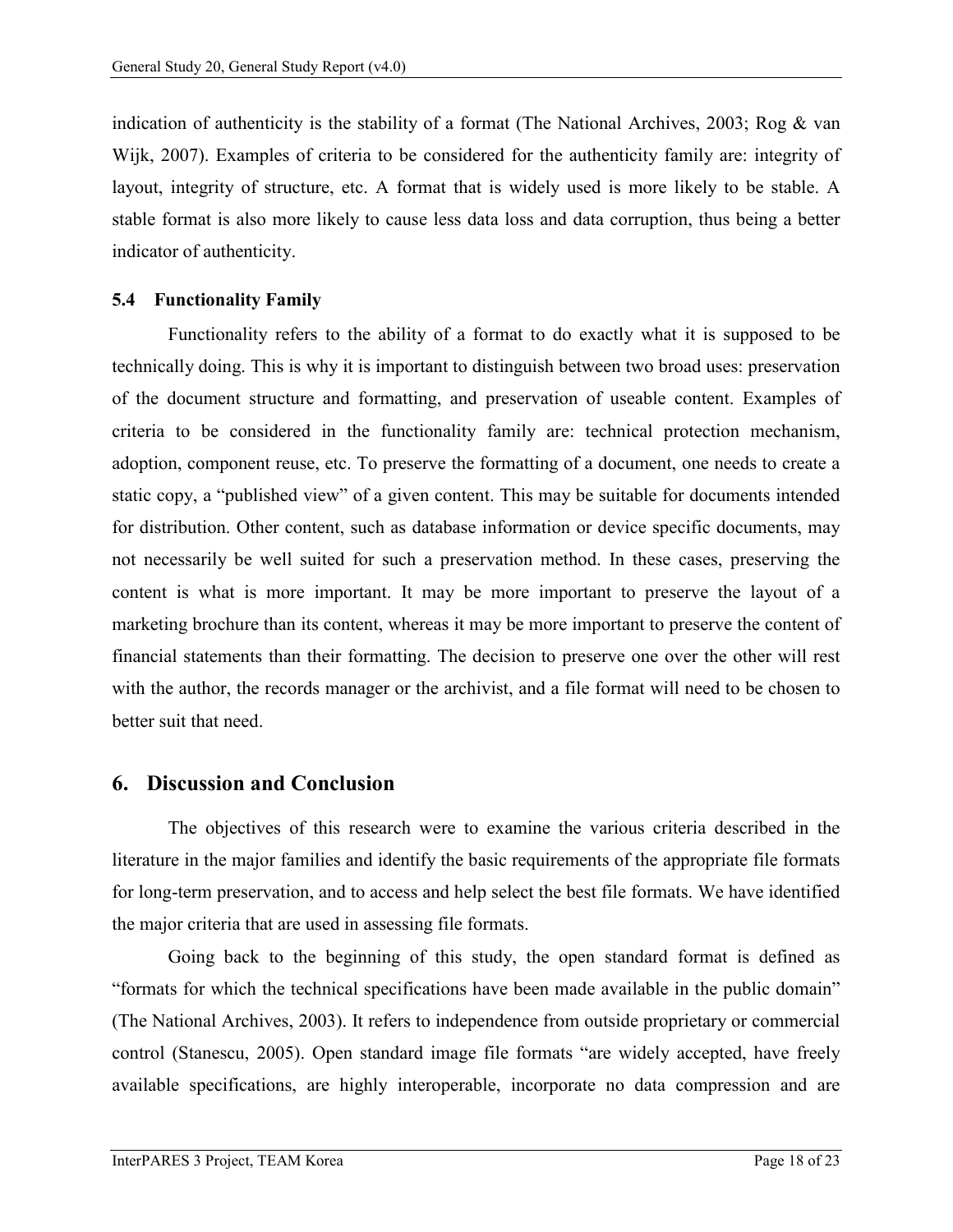indication of authenticity is the stability of a format (The National Archives, 2003; Rog  $\&$  van Wijk, 2007). Examples of criteria to be considered for the authenticity family are: integrity of layout, integrity of structure, etc. A format that is widely used is more likely to be stable. A stable format is also more likely to cause less data loss and data corruption, thus being a better indicator of authenticity.

#### <span id="page-20-0"></span>**5.4 Functionality Family**

Functionality refers to the ability of a format to do exactly what it is supposed to be technically doing. This is why it is important to distinguish between two broad uses: preservation of the document structure and formatting, and preservation of useable content. Examples of criteria to be considered in the functionality family are: technical protection mechanism, adoption, component reuse, etc. To preserve the formatting of a document, one needs to create a static copy, a "published view" of a given content. This may be suitable for documents intended for distribution. Other content, such as database information or device specific documents, may not necessarily be well suited for such a preservation method. In these cases, preserving the content is what is more important. It may be more important to preserve the layout of a marketing brochure than its content, whereas it may be more important to preserve the content of financial statements than their formatting. The decision to preserve one over the other will rest with the author, the records manager or the archivist, and a file format will need to be chosen to better suit that need.

## <span id="page-20-1"></span>**6. Discussion and Conclusion**

The objectives of this research were to examine the various criteria described in the literature in the major families and identify the basic requirements of the appropriate file formats for long-term preservation, and to access and help select the best file formats. We have identified the major criteria that are used in assessing file formats.

Going back to the beginning of this study, the open standard format is defined as "formats for which the technical specifications have been made available in the public domain" (The National Archives, 2003). It refers to independence from outside proprietary or commercial control (Stanescu, 2005). Open standard image file formats "are widely accepted, have freely available specifications, are highly interoperable, incorporate no data compression and are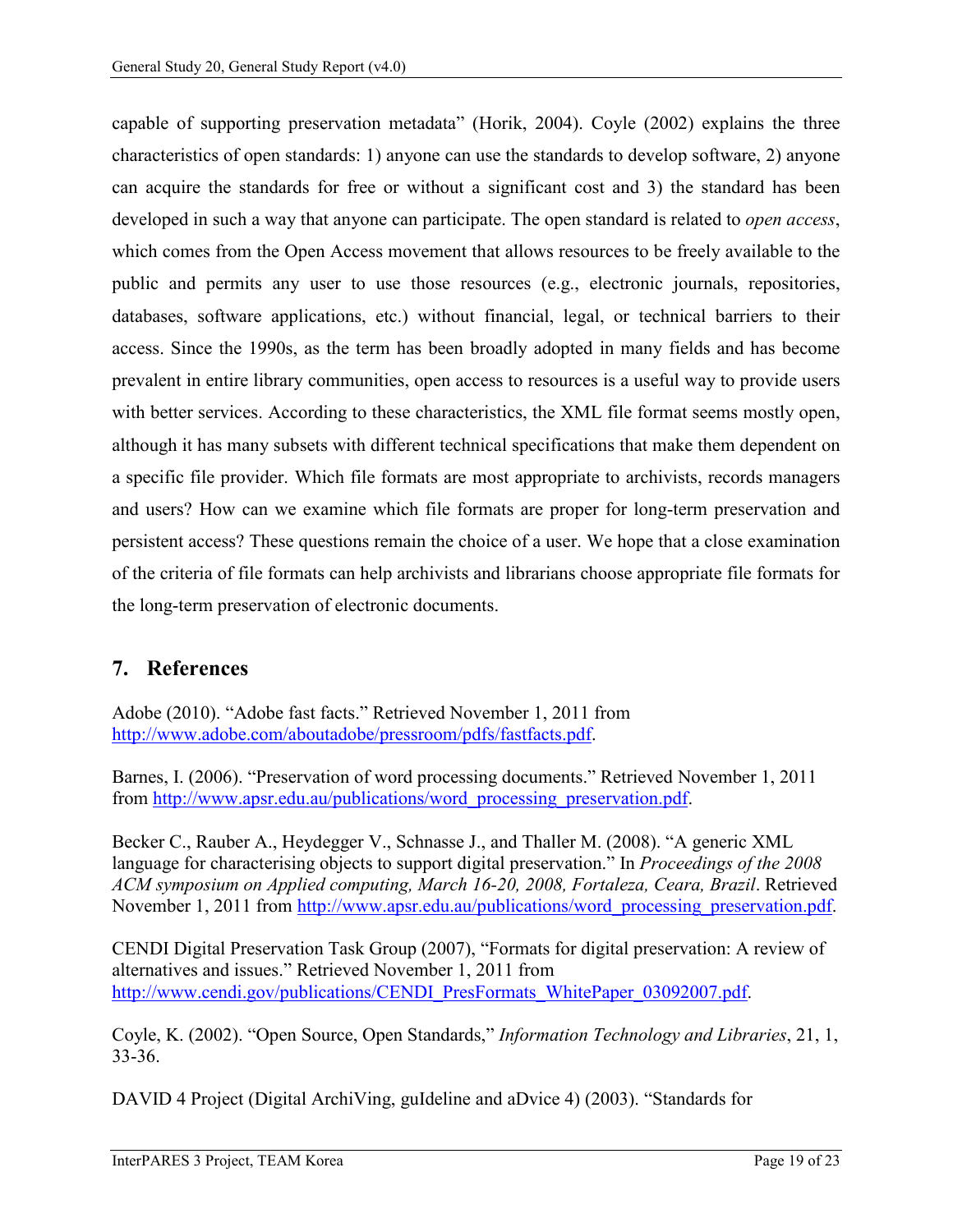capable of supporting preservation metadata" (Horik, 2004). Coyle (2002) explains the three characteristics of open standards: 1) anyone can use the standards to develop software, 2) anyone can acquire the standards for free or without a significant cost and 3) the standard has been developed in such a way that anyone can participate. The open standard is related to *open access*, which comes from the Open Access movement that allows resources to be freely available to the public and permits any user to use those resources (e.g., electronic journals, repositories, databases, software applications, etc.) without financial, legal, or technical barriers to their access. Since the 1990s, as the term has been broadly adopted in many fields and has become prevalent in entire library communities, open access to resources is a useful way to provide users with better services. According to these characteristics, the XML file format seems mostly open, although it has many subsets with different technical specifications that make them dependent on a specific file provider. Which file formats are most appropriate to archivists, records managers and users? How can we examine which file formats are proper for long-term preservation and persistent access? These questions remain the choice of a user. We hope that a close examination of the criteria of file formats can help archivists and librarians choose appropriate file formats for the long-term preservation of electronic documents.

## <span id="page-21-0"></span>**7. References**

Adobe (2010). "Adobe fast facts." Retrieved November 1, 2011 from [http://www.adobe.com/aboutadobe/pressroom/pdfs/fastfacts.pdf.](http://www.adobe.com/aboutadobe/pressroom/pdfs/fastfacts.pdf)

Barnes, I. (2006). "Preservation of word processing documents." Retrieved November 1, 2011 from [http://www.apsr.edu.au/publications/word\\_processing\\_preservation.pdf.](http://www.apsr.edu.au/publications/word_processing_preservation.pdf)

Becker C., Rauber A., Heydegger V., Schnasse J., and Thaller M. (2008). "A generic XML language for characterising objects to support digital preservation." In *Proceedings of the 2008 ACM symposium on Applied computing, March 16-20, 2008, Fortaleza, Ceara, Brazil*. Retrieved November 1, 2011 from [http://www.apsr.edu.au/publications/word\\_processing\\_preservation.pdf.](http://www.apsr.edu.au/publications/word_processing_preservation.pdf)

CENDI Digital Preservation Task Group (2007), "Formats for digital preservation: A review of alternatives and issues." Retrieved November 1, 2011 from [http://www.cendi.gov/publications/CENDI\\_PresFormats\\_WhitePaper\\_03092007.pdf.](http://www.cendi.gov/publications/CENDI_PresFormats_WhitePaper_03092007.pdf)

Coyle, K. (2002). "Open Source, Open Standards," *Information Technology and Libraries*, 21, 1, 33-36.

DAVID 4 Project (Digital ArchiVing, guIdeline and aDvice 4) (2003). "Standards for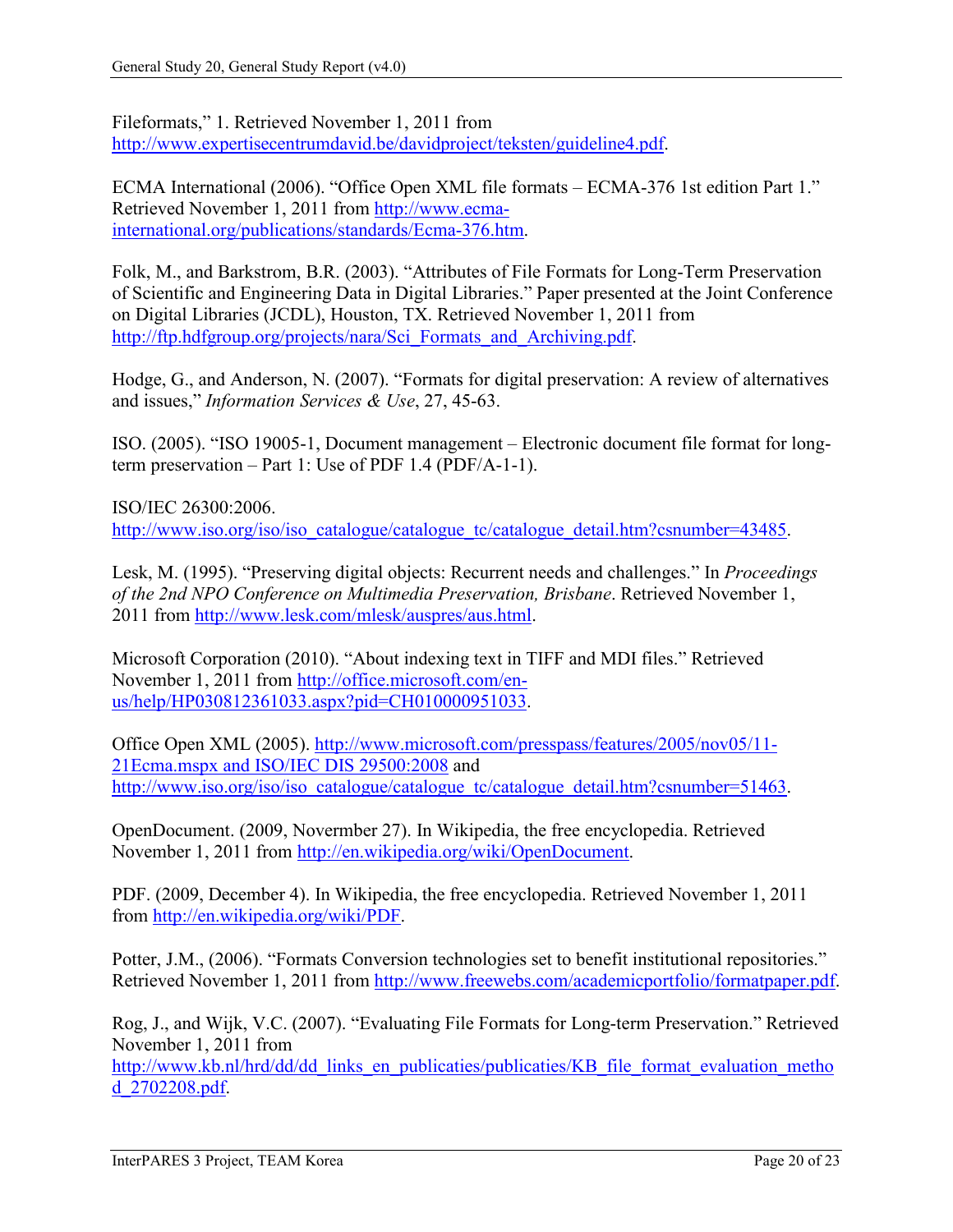Fileformats," 1. Retrieved November 1, 2011 from [http://www.expertisecentrumdavid.be/davidproject/teksten/guideline4.pdf.](http://www.expertisecentrumdavid.be/davidproject/teksten/guideline4.pdf)

ECMA International (2006). "Office Open XML file formats – ECMA-376 1st edition Part 1." Retrieved November 1, 2011 from [http://www.ecma](http://www.ecma-international.org/publications/standards/Ecma-376.htm)[international.org/publications/standards/Ecma-376.htm.](http://www.ecma-international.org/publications/standards/Ecma-376.htm)

Folk, M., and Barkstrom, B.R. (2003). "Attributes of File Formats for Long-Term Preservation of Scientific and Engineering Data in Digital Libraries." Paper presented at the Joint Conference on Digital Libraries (JCDL), Houston, TX. Retrieved November 1, 2011 from [http://ftp.hdfgroup.org/projects/nara/Sci\\_Formats\\_and\\_Archiving.pdf.](http://ftp.hdfgroup.org/projects/nara/Sci_Formats_and_Archiving.pdf)

Hodge, G., and Anderson, N. (2007). "Formats for digital preservation: A review of alternatives and issues," *Information Services & Use*, 27, 45-63.

ISO. (2005). "ISO 19005-1, Document management – Electronic document file format for longterm preservation – Part 1: Use of PDF 1.4 (PDF/A-1-1).

ISO/IEC 26300:2006. [http://www.iso.org/iso/iso\\_catalogue/catalogue\\_tc/catalogue\\_detail.htm?csnumber=43485.](http://www.iso.org/iso/iso_catalogue/catalogue_tc/catalogue_detail.htm?csnumber=43485)

Lesk, M. (1995). "Preserving digital objects: Recurrent needs and challenges." In *Proceedings of the 2nd NPO Conference on Multimedia Preservation, Brisbane*. Retrieved November 1, 2011 from [http://www.lesk.com/mlesk/auspres/aus.html.](http://www.lesk.com/mlesk/auspres/aus.html)

Microsoft Corporation (2010). "About indexing text in TIFF and MDI files." Retrieved November 1, 2011 from [http://office.microsoft.com/en](http://office.microsoft.com/en-%20us/help/HP030812361033.aspx?pid=CH010000951033)[us/help/HP030812361033.aspx?pid=CH010000951033.](http://office.microsoft.com/en-%20us/help/HP030812361033.aspx?pid=CH010000951033)

Office Open XML (2005). [http://www.microsoft.com/presspass/features/2005/nov05/11-](http://www.microsoft.com/presspass/features/2005/nov05/11-21Ecma.mspx%20and%20ISO/IEC%20DIS%2029500:2008) [21Ecma.mspx and ISO/IEC DIS 29500:2008](http://www.microsoft.com/presspass/features/2005/nov05/11-21Ecma.mspx%20and%20ISO/IEC%20DIS%2029500:2008) and [http://www.iso.org/iso/iso\\_catalogue/catalogue\\_tc/catalogue\\_detail.htm?csnumber=51463.](http://www.iso.org/iso/iso_catalogue/catalogue_tc/catalogue_detail.htm?csnumber=51463)

OpenDocument. (2009, Novermber 27). In Wikipedia, the free encyclopedia. Retrieved November 1, 2011 from [http://en.wikipedia.org/wiki/OpenDocument.](http://en.wikipedia.org/wiki/OpenDocument)

PDF. (2009, December 4). In Wikipedia, the free encyclopedia. Retrieved November 1, 2011 from [http://en.wikipedia.org/wiki/PDF.](http://en.wikipedia.org/wiki/PDF)

Potter, J.M., (2006). "Formats Conversion technologies set to benefit institutional repositories." Retrieved November 1, 2011 from [http://www.freewebs.com/academicportfolio/formatpaper.pdf.](http://www.freewebs.com/academicportfolio/formatpaper.pdf)

Rog, J., and Wijk, V.C. (2007). "Evaluating File Formats for Long-term Preservation." Retrieved November 1, 2011 from

[http://www.kb.nl/hrd/dd/dd\\_links\\_en\\_publicaties/publicaties/KB\\_file\\_format\\_evaluation\\_metho](http://www.kb.nl/hrd/dd/dd_links_en_publicaties/publicaties/KB_file_format_evaluation_method_2702208.pdf) [d\\_2702208.pdf.](http://www.kb.nl/hrd/dd/dd_links_en_publicaties/publicaties/KB_file_format_evaluation_method_2702208.pdf)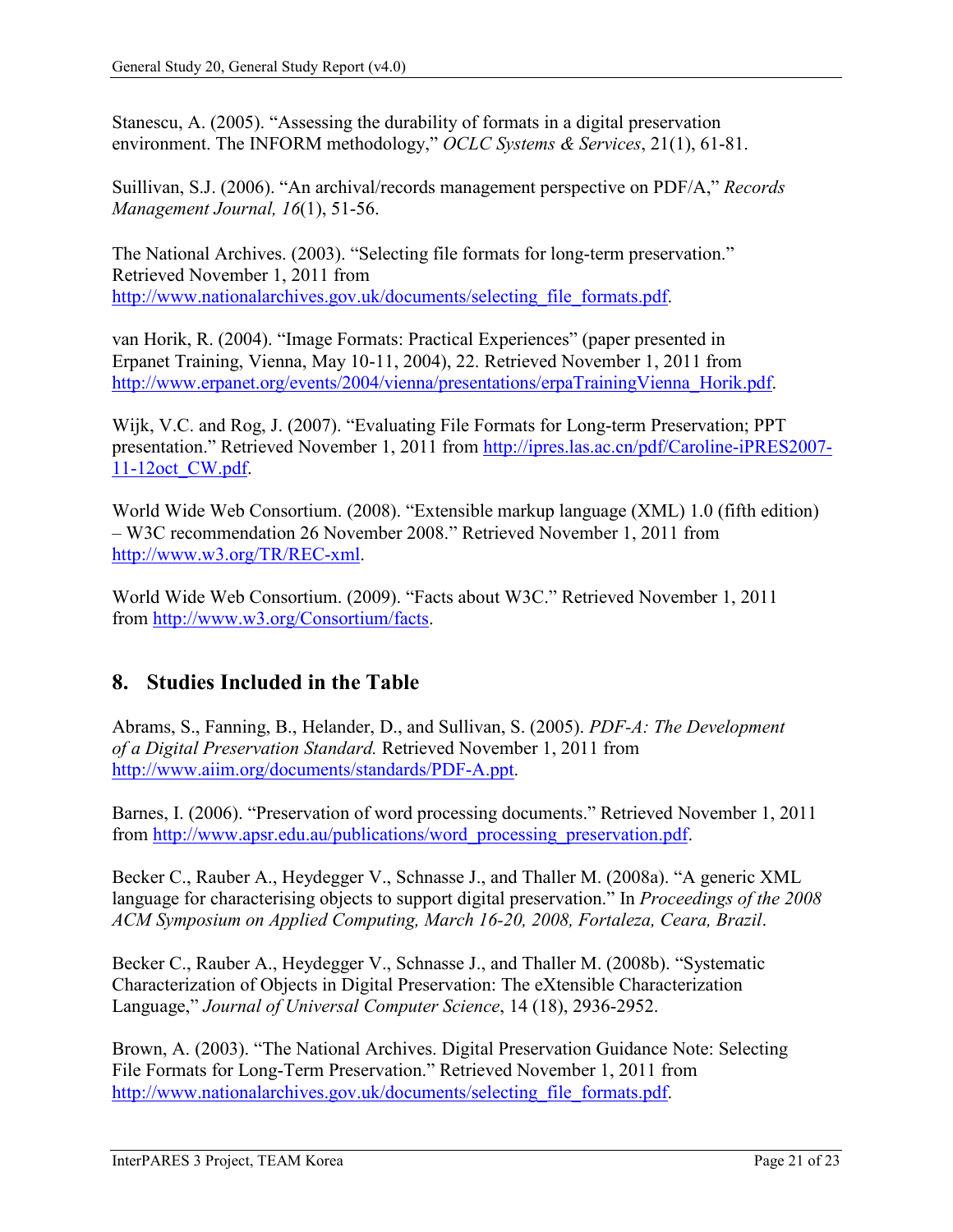Stanescu, A. (2005). "Assessing the durability of formats in a digital preservation environment. The INFORM methodology," *OCLC Systems & Services*, 21(1), 61-81.

Suillivan, S.J. (2006). "An archival/records management perspective on PDF/A," *Records Management Journal, 16*(1), 51-56.

The National Archives. (2003). "Selecting file formats for long-term preservation." Retrieved November 1, 2011 from http://www.nationalarchives.gov.uk/documents/selecting file formats.pdf.

van Horik, R. (2004). "Image Formats: Practical Experiences" (paper presented in Erpanet Training, Vienna, May 10-11, 2004), 22. Retrieved November 1, 2011 from [http://www.erpanet.org/events/2004/vienna/presentations/erpaTrainingVienna\\_Horik.pdf.](http://www.erpanet.org/events/2004/vienna/presentations/erpaTrainingVienna_Horik.pdf)

Wijk, V.C. and Rog, J. (2007). "Evaluating File Formats for Long-term Preservation; PPT presentation." Retrieved November 1, 2011 from [http://ipres.las.ac.cn/pdf/Caroline-iPRES2007-](http://ipres.las.ac.cn/pdf/Caroline-iPRES2007-11-12oct_CW.pdf) [11-12oct\\_CW.pdf.](http://ipres.las.ac.cn/pdf/Caroline-iPRES2007-11-12oct_CW.pdf)

World Wide Web Consortium. (2008). "Extensible markup language (XML) 1.0 (fifth edition) – W3C recommendation 26 November 2008." Retrieved November 1, 2011 from [http://www.w3.org/TR/REC-xml.](http://www.w3.org/TR/REC-xml)

World Wide Web Consortium. (2009). "Facts about W3C." Retrieved November 1, 2011 from [http://www.w3.org/Consortium/facts.](http://www.w3.org/Consortium/facts)

# <span id="page-23-0"></span>**8. Studies Included in the Table**

Abrams, S., Fanning, B., Helander, D., and Sullivan, S. (2005). *PDF-A: The Development of a Digital Preservation Standard.* Retrieved November 1, 2011 from [http://www.aiim.org/documents/standards/PDF-A.ppt.](http://www.aiim.org/documents/standards/PDF-A.ppt)

Barnes, I. (2006). "Preservation of word processing documents." Retrieved November 1, 2011 from [http://www.apsr.edu.au/publications/word\\_processing\\_preservation.pdf.](http://www.apsr.edu.au/publications/word_processing_preservation.pdf)

Becker C., Rauber A., Heydegger V., Schnasse J., and Thaller M. (2008a). "A generic XML language for characterising objects to support digital preservation." In *Proceedings of the 2008 ACM Symposium on Applied Computing, March 16-20, 2008, Fortaleza, Ceara, Brazil*.

Becker C., Rauber A., Heydegger V., Schnasse J., and Thaller M. (2008b). "Systematic Characterization of Objects in Digital Preservation: The eXtensible Characterization Language," *Journal of Universal Computer Science*, 14 (18), 2936-2952.

Brown, A. (2003). "The National Archives. Digital Preservation Guidance Note: Selecting File Formats for Long-Term Preservation." Retrieved November 1, 2011 from [http://www.nationalarchives.gov.uk/documents/selecting\\_file\\_formats.pdf.](http://www.nationalarchives.gov.uk/documents/selecting_file_formats.pdf)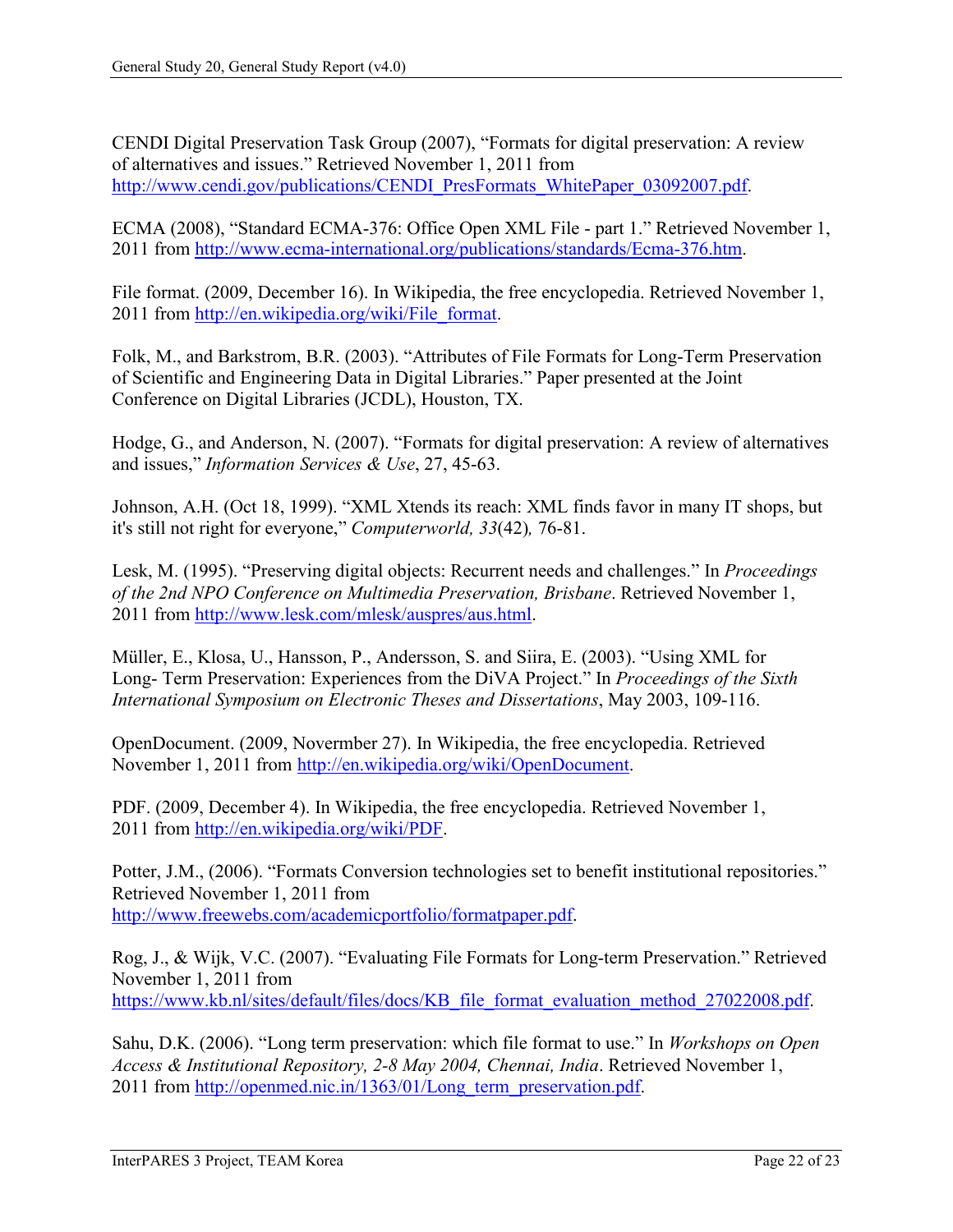CENDI Digital Preservation Task Group (2007), "Formats for digital preservation: A review of alternatives and issues." Retrieved November 1, 2011 from [http://www.cendi.gov/publications/CENDI\\_PresFormats\\_WhitePaper\\_03092007.pdf.](http://www.cendi.gov/publications/CENDI_PresFormats_WhitePaper_03092007.pdf)

ECMA (2008), "Standard ECMA-376: Office Open XML File - part 1." Retrieved November 1, 2011 from [http://www.ecma-international.org/publications/standards/Ecma-376.htm.](http://www.ecma-international.org/publications/standards/Ecma-376.htm)

File format. (2009, December 16). In Wikipedia, the free encyclopedia. Retrieved November 1, 2011 from [http://en.wikipedia.org/wiki/File\\_format.](http://en.wikipedia.org/wiki/File_format)

Folk, M., and Barkstrom, B.R. (2003). "Attributes of File Formats for Long-Term Preservation of Scientific and Engineering Data in Digital Libraries." Paper presented at the Joint Conference on Digital Libraries (JCDL), Houston, TX.

Hodge, G., and Anderson, N. (2007). "Formats for digital preservation: A review of alternatives and issues," *Information Services & Use*, 27, 45-63.

Johnson, A.H. (Oct 18, 1999). "XML Xtends its reach: XML finds favor in many IT shops, but it's still not right for everyone," *Computerworld, 33*(42)*,* 76-81.

Lesk, M. (1995). "Preserving digital objects: Recurrent needs and challenges." In *Proceedings of the 2nd NPO Conference on Multimedia Preservation, Brisbane*. Retrieved November 1, 2011 from [http://www.lesk.com/mlesk/auspres/aus.html.](http://www.lesk.com/mlesk/auspres/aus.html)

Müller, E., Klosa, U., Hansson, P., Andersson, S. and Siira, E. (2003). "Using XML for Long- Term Preservation: Experiences from the DiVA Project." In *Proceedings of the Sixth International Symposium on Electronic Theses and Dissertations*, May 2003, 109-116.

OpenDocument. (2009, Novermber 27). In Wikipedia, the free encyclopedia. Retrieved November 1, 2011 from [http://en.wikipedia.org/wiki/OpenDocument.](http://en.wikipedia.org/wiki/OpenDocument)

PDF. (2009, December 4). In Wikipedia, the free encyclopedia. Retrieved November 1, 2011 from [http://en.wikipedia.org/wiki/PDF.](http://en.wikipedia.org/wiki/PDF)

Potter, J.M., (2006). "Formats Conversion technologies set to benefit institutional repositories." Retrieved November 1, 2011 from [http://www.freewebs.com/academicportfolio/formatpaper.pdf.](http://www.freewebs.com/academicportfolio/formatpaper.pdf)

Rog, J., & Wijk, V.C. (2007). "Evaluating File Formats for Long-term Preservation." Retrieved November 1, 2011 from [https://www.kb.nl/sites/default/files/docs/KB\\_file\\_format\\_evaluation\\_method\\_27022008.pdf.](https://www.kb.nl/sites/default/files/docs/KB_file_format_evaluation_method_27022008.pdf)

Sahu, D.K. (2006). "Long term preservation: which file format to use." In *Workshops on Open Access & Institutional Repository, 2-8 May 2004, Chennai, India*. Retrieved November 1, 2011 from [http://openmed.nic.in/1363/01/Long\\_term\\_preservation.pdf.](http://openmed.nic.in/1363/01/Long_term_preservation.pdf)